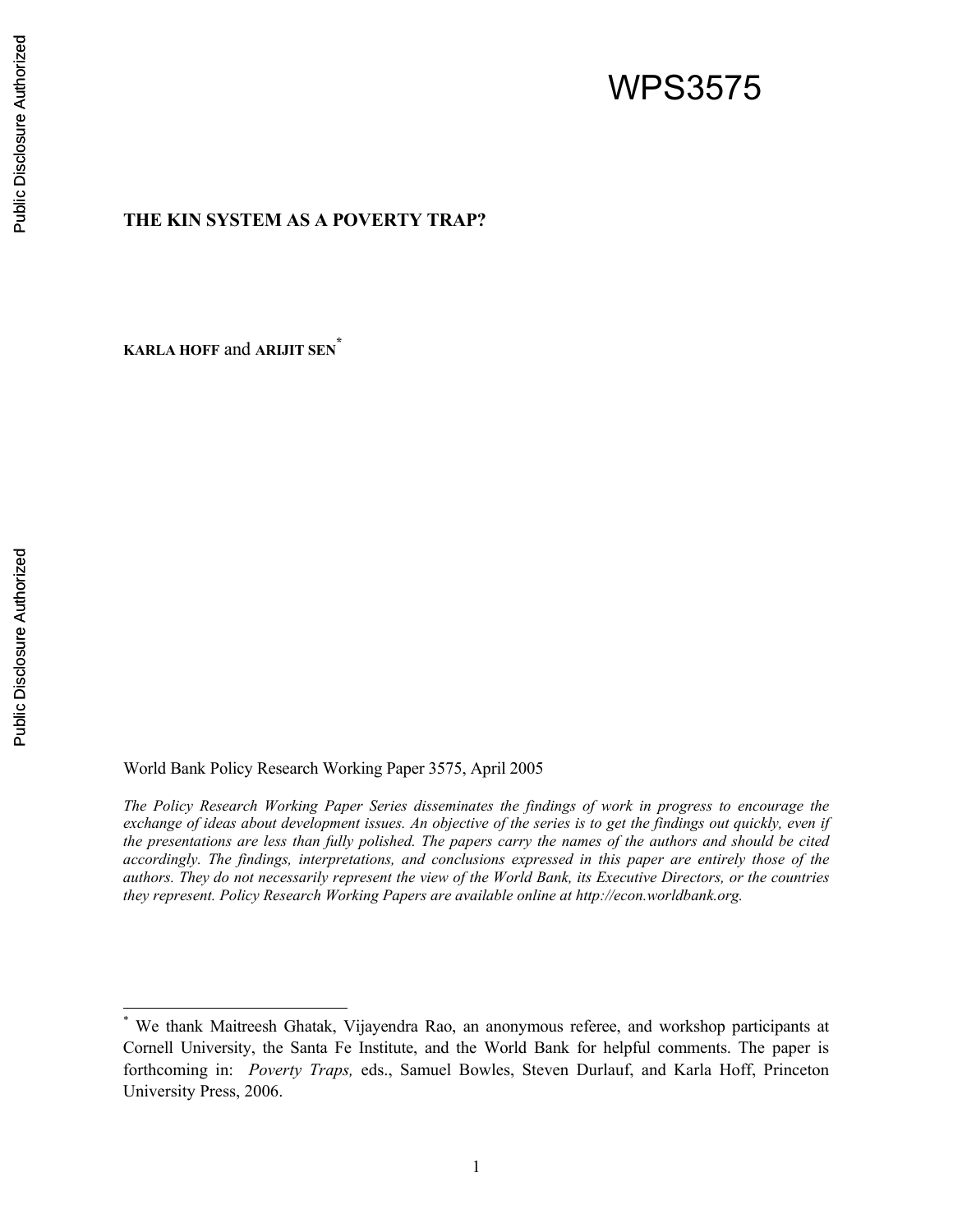# WPS3575

# **THE KIN SYSTEM AS A POVERTY TRAP?**

**KARLA HOFF** and **ARIJIT SEN\***

World Bank Policy Research Working Paper 3575, April 2005

*The Policy Research Working Paper Series disseminates the findings of work in progress to encourage the exchange of ideas about development issues. An objective of the series is to get the findings out quickly, even if the presentations are less than fully polished. The papers carry the names of the authors and should be cited accordingly. The findings, interpretations, and conclusions expressed in this paper are entirely those of the authors. They do not necessarily represent the view of the World Bank, its Executive Directors, or the countries they represent. Policy Research Working Papers are available online at http://econ.worldbank.org.* 

 $\overline{a}$ 

<sup>\*</sup> We thank Maitreesh Ghatak, Vijayendra Rao, an anonymous referee, and workshop participants at Cornell University, the Santa Fe Institute, and the World Bank for helpful comments. The paper is forthcoming in: *Poverty Traps,* eds., Samuel Bowles, Steven Durlauf, and Karla Hoff, Princeton University Press, 2006.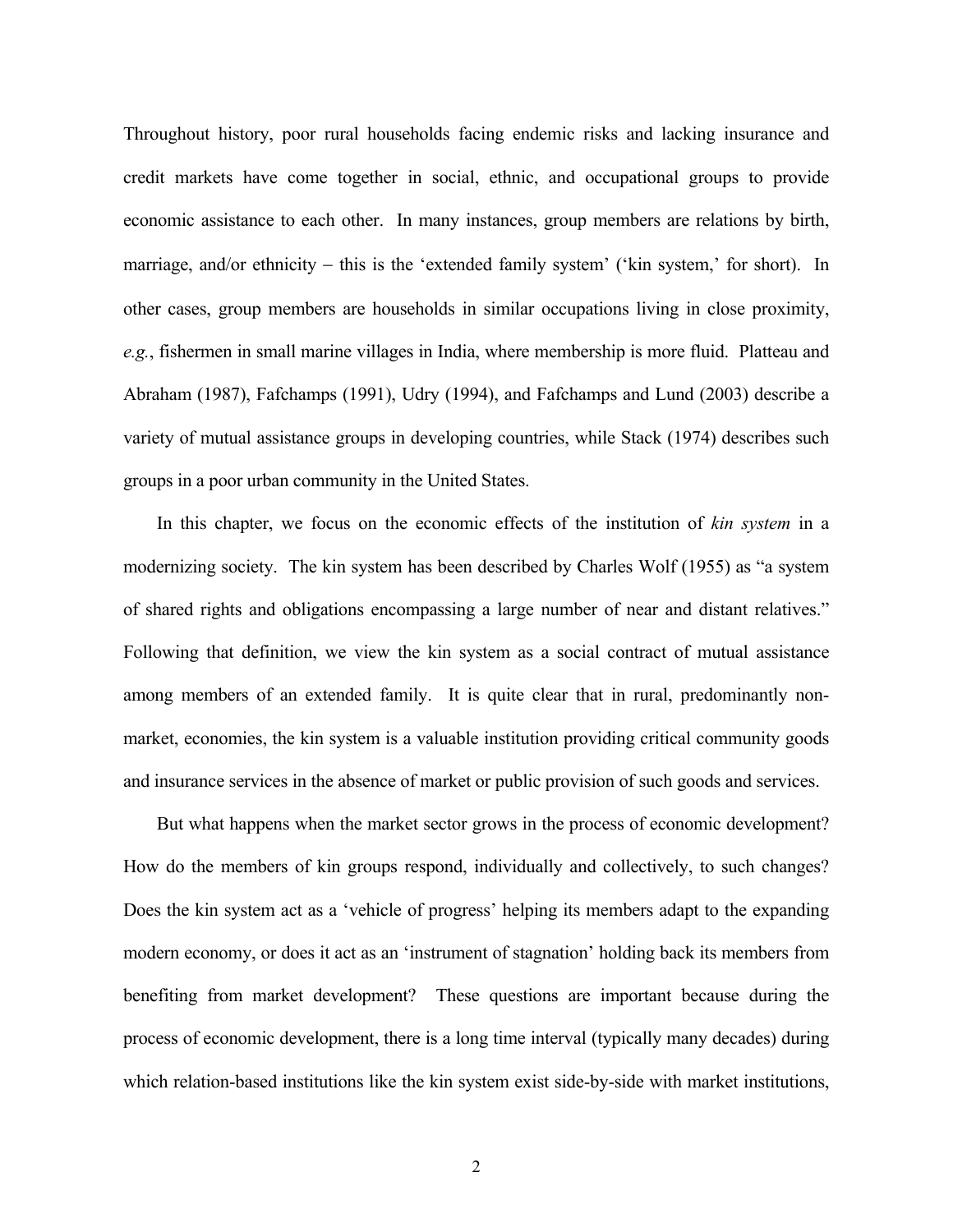Throughout history, poor rural households facing endemic risks and lacking insurance and credit markets have come together in social, ethnic, and occupational groups to provide economic assistance to each other. In many instances, group members are relations by birth, marriage, and/or ethnicity – this is the 'extended family system' ('kin system,' for short). In other cases, group members are households in similar occupations living in close proximity, *e.g.*, fishermen in small marine villages in India, where membership is more fluid. Platteau and Abraham (1987), Fafchamps (1991), Udry (1994), and Fafchamps and Lund (2003) describe a variety of mutual assistance groups in developing countries, while Stack (1974) describes such groups in a poor urban community in the United States.

In this chapter, we focus on the economic effects of the institution of *kin system* in a modernizing society. The kin system has been described by Charles Wolf (1955) as "a system of shared rights and obligations encompassing a large number of near and distant relatives." Following that definition, we view the kin system as a social contract of mutual assistance among members of an extended family. It is quite clear that in rural, predominantly nonmarket, economies, the kin system is a valuable institution providing critical community goods and insurance services in the absence of market or public provision of such goods and services.

But what happens when the market sector grows in the process of economic development? How do the members of kin groups respond, individually and collectively, to such changes? Does the kin system act as a 'vehicle of progress' helping its members adapt to the expanding modern economy, or does it act as an 'instrument of stagnation' holding back its members from benefiting from market development? These questions are important because during the process of economic development, there is a long time interval (typically many decades) during which relation-based institutions like the kin system exist side-by-side with market institutions,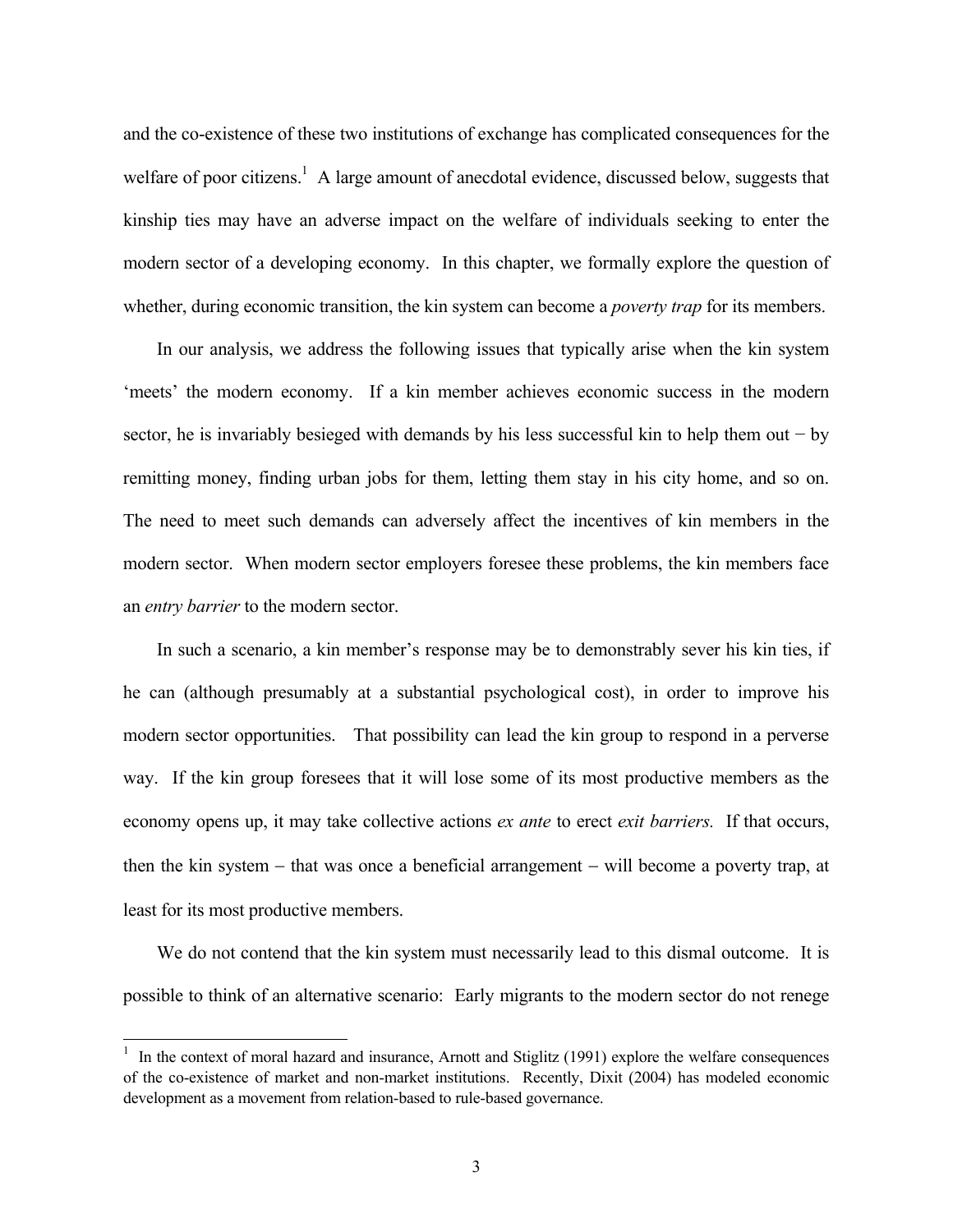and the co-existence of these two institutions of exchange has complicated consequences for the welfare of poor citizens.<sup>1</sup> A large amount of anecdotal evidence, discussed below, suggests that kinship ties may have an adverse impact on the welfare of individuals seeking to enter the modern sector of a developing economy. In this chapter, we formally explore the question of whether, during economic transition, the kin system can become a *poverty trap* for its members.

In our analysis, we address the following issues that typically arise when the kin system 'meets' the modern economy. If a kin member achieves economic success in the modern sector, he is invariably besieged with demands by his less successful kin to help them out − by remitting money, finding urban jobs for them, letting them stay in his city home, and so on. The need to meet such demands can adversely affect the incentives of kin members in the modern sector. When modern sector employers foresee these problems, the kin members face an *entry barrier* to the modern sector.

In such a scenario, a kin member's response may be to demonstrably sever his kin ties, if he can (although presumably at a substantial psychological cost), in order to improve his modern sector opportunities. That possibility can lead the kin group to respond in a perverse way. If the kin group foresees that it will lose some of its most productive members as the economy opens up, it may take collective actions *ex ante* to erect *exit barriers.* If that occurs, then the kin system − that was once a beneficial arrangement − will become a poverty trap, at least for its most productive members.

We do not contend that the kin system must necessarily lead to this dismal outcome. It is possible to think of an alternative scenario: Early migrants to the modern sector do not renege

 $\overline{a}$ 

<sup>&</sup>lt;sup>1</sup> In the context of moral hazard and insurance, Arnott and Stiglitz (1991) explore the welfare consequences of the co-existence of market and non-market institutions. Recently, Dixit (2004) has modeled economic development as a movement from relation-based to rule-based governance.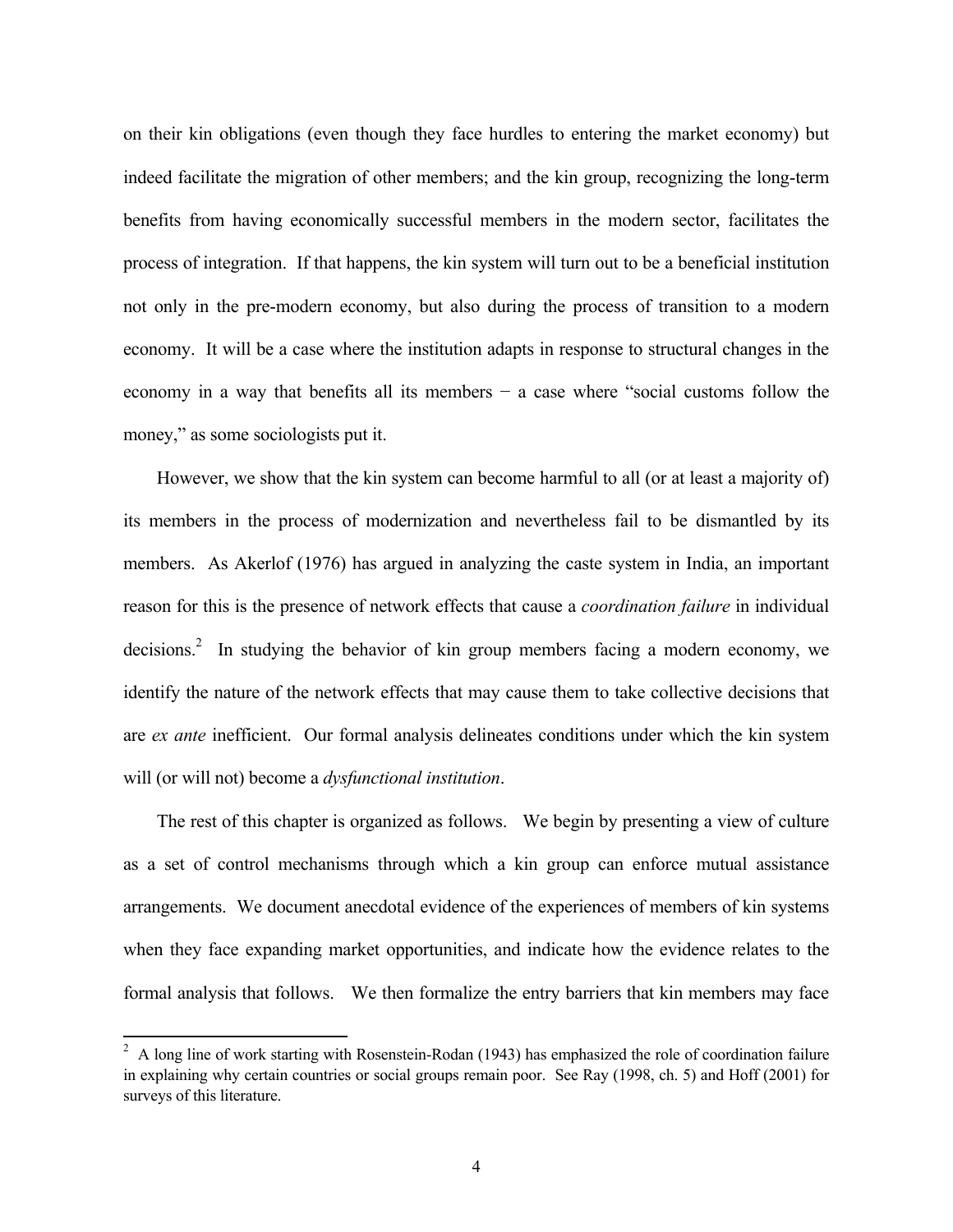on their kin obligations (even though they face hurdles to entering the market economy) but indeed facilitate the migration of other members; and the kin group, recognizing the long-term benefits from having economically successful members in the modern sector, facilitates the process of integration. If that happens, the kin system will turn out to be a beneficial institution not only in the pre-modern economy, but also during the process of transition to a modern economy. It will be a case where the institution adapts in response to structural changes in the economy in a way that benefits all its members − a case where "social customs follow the money," as some sociologists put it.

However, we show that the kin system can become harmful to all (or at least a majority of) its members in the process of modernization and nevertheless fail to be dismantled by its members. As Akerlof (1976) has argued in analyzing the caste system in India, an important reason for this is the presence of network effects that cause a *coordination failure* in individual decisions.<sup>2</sup> In studying the behavior of kin group members facing a modern economy, we identify the nature of the network effects that may cause them to take collective decisions that are *ex ante* inefficient. Our formal analysis delineates conditions under which the kin system will (or will not) become a *dysfunctional institution*.

The rest of this chapter is organized as follows. We begin by presenting a view of culture as a set of control mechanisms through which a kin group can enforce mutual assistance arrangements. We document anecdotal evidence of the experiences of members of kin systems when they face expanding market opportunities, and indicate how the evidence relates to the formal analysis that follows. We then formalize the entry barriers that kin members may face

<sup>&</sup>lt;sup>2</sup> A long line of work starting with Rosenstein-Rodan (1943) has emphasized the role of coordination failure in explaining why certain countries or social groups remain poor. See Ray (1998, ch. 5) and Hoff (2001) for surveys of this literature.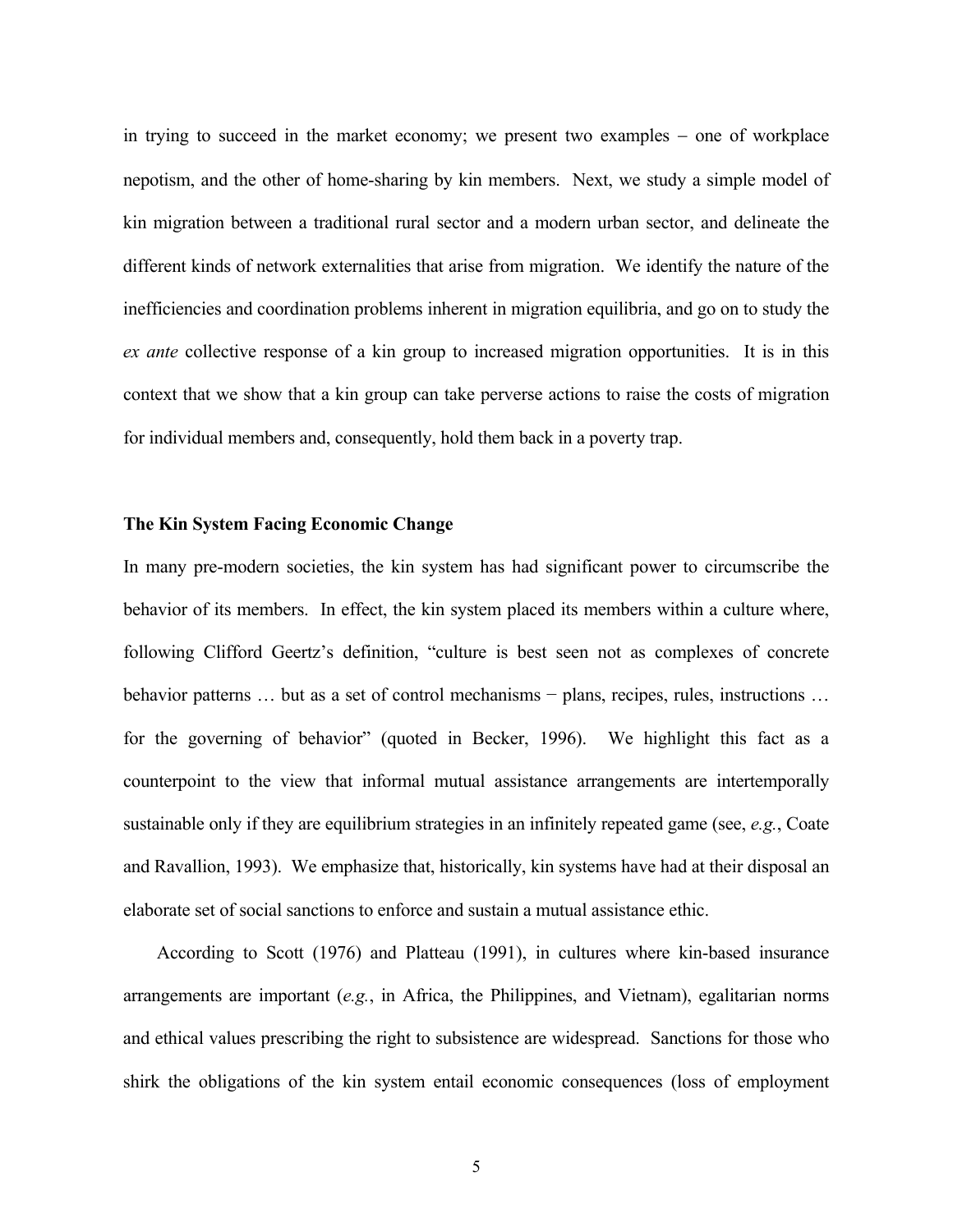in trying to succeed in the market economy; we present two examples − one of workplace nepotism, and the other of home-sharing by kin members. Next, we study a simple model of kin migration between a traditional rural sector and a modern urban sector, and delineate the different kinds of network externalities that arise from migration. We identify the nature of the inefficiencies and coordination problems inherent in migration equilibria, and go on to study the *ex ante* collective response of a kin group to increased migration opportunities. It is in this context that we show that a kin group can take perverse actions to raise the costs of migration for individual members and, consequently, hold them back in a poverty trap.

### **The Kin System Facing Economic Change**

In many pre-modern societies, the kin system has had significant power to circumscribe the behavior of its members. In effect, the kin system placed its members within a culture where, following Clifford Geertz's definition, "culture is best seen not as complexes of concrete behavior patterns … but as a set of control mechanisms – plans, recipes, rules, instructions … for the governing of behavior" (quoted in Becker, 1996). We highlight this fact as a counterpoint to the view that informal mutual assistance arrangements are intertemporally sustainable only if they are equilibrium strategies in an infinitely repeated game (see, *e.g.*, Coate and Ravallion, 1993). We emphasize that, historically, kin systems have had at their disposal an elaborate set of social sanctions to enforce and sustain a mutual assistance ethic.

According to Scott (1976) and Platteau (1991), in cultures where kin-based insurance arrangements are important (*e.g.*, in Africa, the Philippines, and Vietnam), egalitarian norms and ethical values prescribing the right to subsistence are widespread. Sanctions for those who shirk the obligations of the kin system entail economic consequences (loss of employment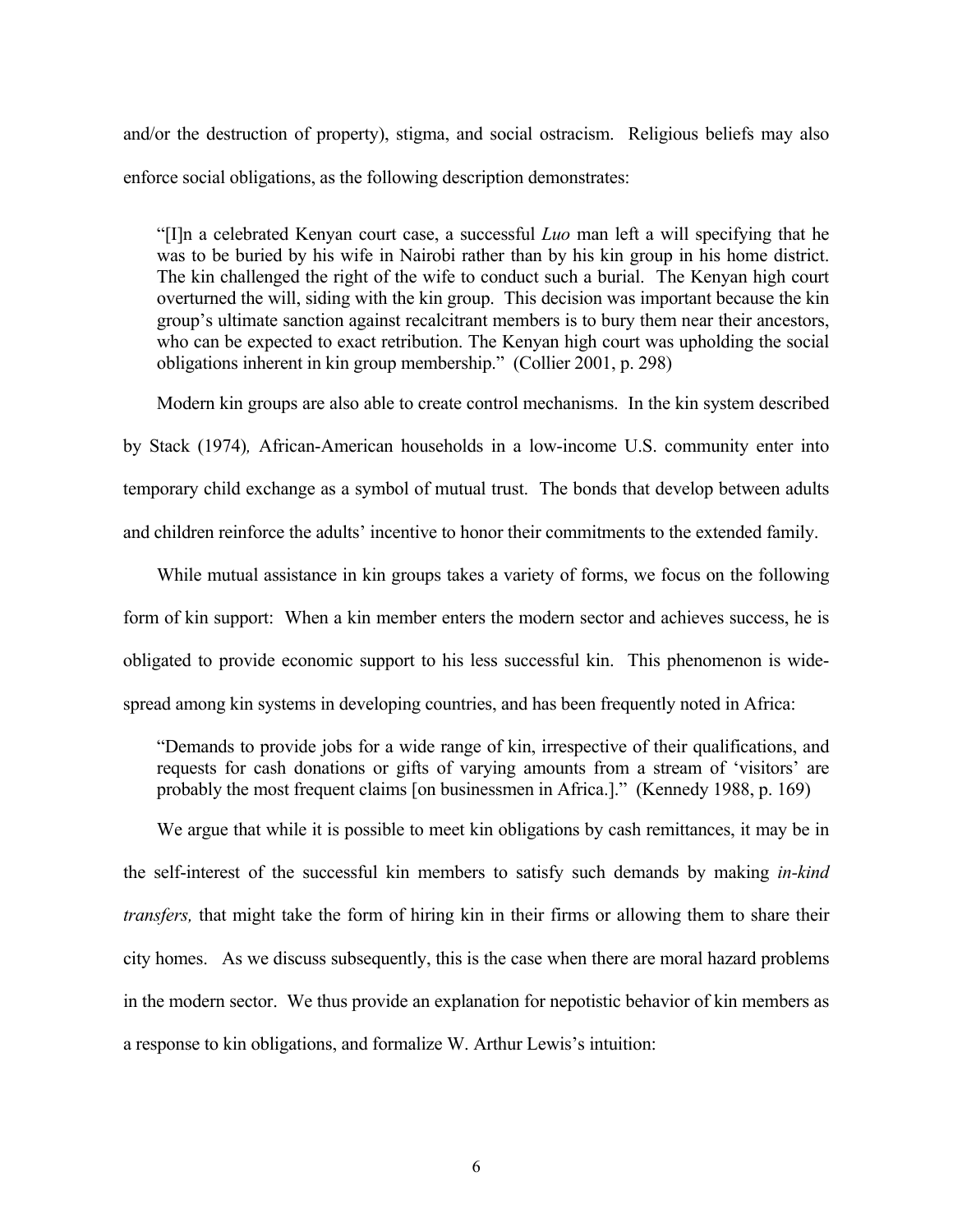and/or the destruction of property), stigma, and social ostracism. Religious beliefs may also enforce social obligations, as the following description demonstrates:

"[I]n a celebrated Kenyan court case, a successful *Luo* man left a will specifying that he was to be buried by his wife in Nairobi rather than by his kin group in his home district. The kin challenged the right of the wife to conduct such a burial. The Kenyan high court overturned the will, siding with the kin group. This decision was important because the kin group's ultimate sanction against recalcitrant members is to bury them near their ancestors, who can be expected to exact retribution. The Kenyan high court was upholding the social obligations inherent in kin group membership." (Collier 2001, p. 298)

Modern kin groups are also able to create control mechanisms. In the kin system described

by Stack (1974)*,* African-American households in a low-income U.S. community enter into temporary child exchange as a symbol of mutual trust. The bonds that develop between adults and children reinforce the adults' incentive to honor their commitments to the extended family.

While mutual assistance in kin groups takes a variety of forms, we focus on the following form of kin support: When a kin member enters the modern sector and achieves success, he is obligated to provide economic support to his less successful kin. This phenomenon is widespread among kin systems in developing countries, and has been frequently noted in Africa:

"Demands to provide jobs for a wide range of kin, irrespective of their qualifications, and requests for cash donations or gifts of varying amounts from a stream of 'visitors' are probably the most frequent claims [on businessmen in Africa.]." (Kennedy 1988, p. 169)

We argue that while it is possible to meet kin obligations by cash remittances, it may be in the self-interest of the successful kin members to satisfy such demands by making *in-kind transfers,* that might take the form of hiring kin in their firms or allowing them to share their city homes. As we discuss subsequently, this is the case when there are moral hazard problems in the modern sector. We thus provide an explanation for nepotistic behavior of kin members as a response to kin obligations, and formalize W. Arthur Lewis's intuition: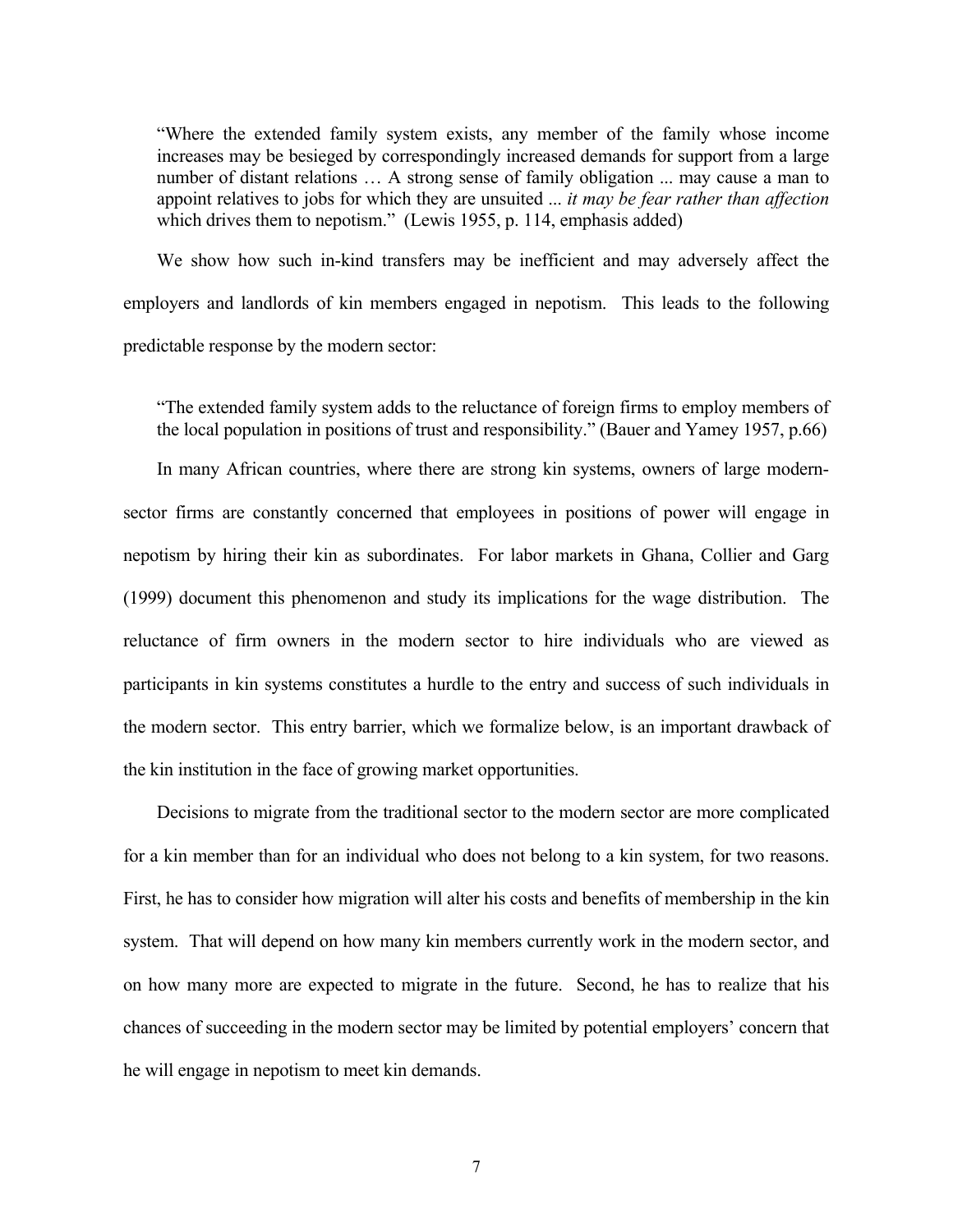"Where the extended family system exists, any member of the family whose income increases may be besieged by correspondingly increased demands for support from a large number of distant relations ... A strong sense of family obligation ... may cause a man to appoint relatives to jobs for which they are unsuited ... *it may be fear rather than affection* which drives them to nepotism." (Lewis 1955, p. 114, emphasis added)

We show how such in-kind transfers may be inefficient and may adversely affect the employers and landlords of kin members engaged in nepotism. This leads to the following predictable response by the modern sector:

"The extended family system adds to the reluctance of foreign firms to employ members of the local population in positions of trust and responsibility." (Bauer and Yamey 1957, p.66) In many African countries, where there are strong kin systems, owners of large modernsector firms are constantly concerned that employees in positions of power will engage in nepotism by hiring their kin as subordinates. For labor markets in Ghana, Collier and Garg (1999) document this phenomenon and study its implications for the wage distribution. The reluctance of firm owners in the modern sector to hire individuals who are viewed as participants in kin systems constitutes a hurdle to the entry and success of such individuals in the modern sector. This entry barrier, which we formalize below, is an important drawback of the kin institution in the face of growing market opportunities.

Decisions to migrate from the traditional sector to the modern sector are more complicated for a kin member than for an individual who does not belong to a kin system, for two reasons. First, he has to consider how migration will alter his costs and benefits of membership in the kin system. That will depend on how many kin members currently work in the modern sector, and on how many more are expected to migrate in the future. Second, he has to realize that his chances of succeeding in the modern sector may be limited by potential employers' concern that he will engage in nepotism to meet kin demands.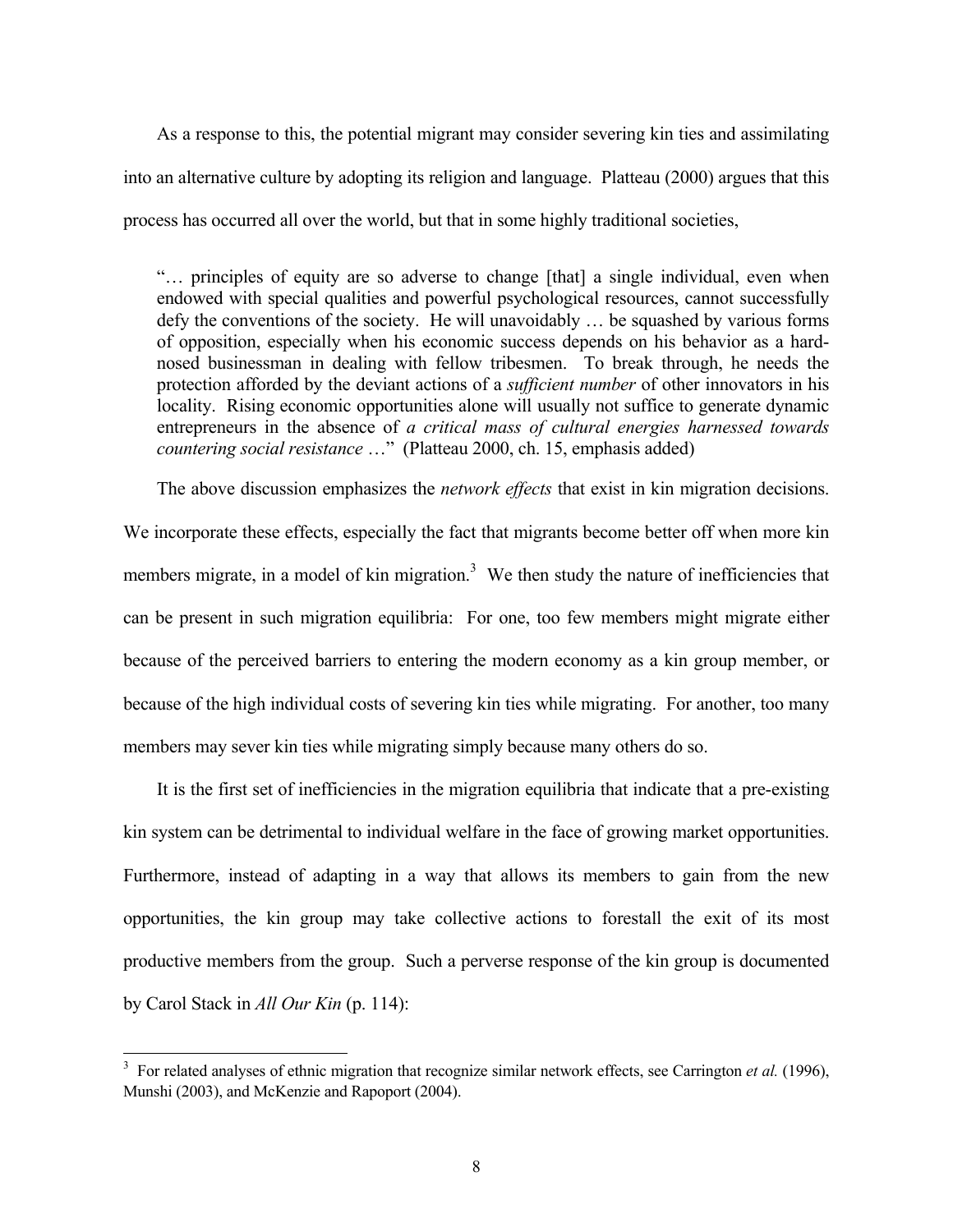As a response to this, the potential migrant may consider severing kin ties and assimilating into an alternative culture by adopting its religion and language. Platteau (2000) argues that this process has occurred all over the world, but that in some highly traditional societies,

"… principles of equity are so adverse to change [that] a single individual, even when endowed with special qualities and powerful psychological resources, cannot successfully defy the conventions of the society. He will unavoidably … be squashed by various forms of opposition, especially when his economic success depends on his behavior as a hardnosed businessman in dealing with fellow tribesmen. To break through, he needs the protection afforded by the deviant actions of a *sufficient number* of other innovators in his locality. Rising economic opportunities alone will usually not suffice to generate dynamic entrepreneurs in the absence of *a critical mass of cultural energies harnessed towards countering social resistance* …" (Platteau 2000, ch. 15, emphasis added)

The above discussion emphasizes the *network effects* that exist in kin migration decisions.

We incorporate these effects, especially the fact that migrants become better off when more kin members migrate, in a model of kin migration.<sup>3</sup> We then study the nature of inefficiencies that can be present in such migration equilibria: For one, too few members might migrate either because of the perceived barriers to entering the modern economy as a kin group member, or because of the high individual costs of severing kin ties while migrating. For another, too many members may sever kin ties while migrating simply because many others do so.

It is the first set of inefficiencies in the migration equilibria that indicate that a pre-existing kin system can be detrimental to individual welfare in the face of growing market opportunities. Furthermore, instead of adapting in a way that allows its members to gain from the new opportunities, the kin group may take collective actions to forestall the exit of its most productive members from the group. Such a perverse response of the kin group is documented by Carol Stack in *All Our Kin* (p. 114):

<sup>&</sup>lt;sup>3</sup> For related analyses of ethnic migration that recognize similar network effects, see Carrington *et al.* (1996), Munshi (2003), and McKenzie and Rapoport (2004).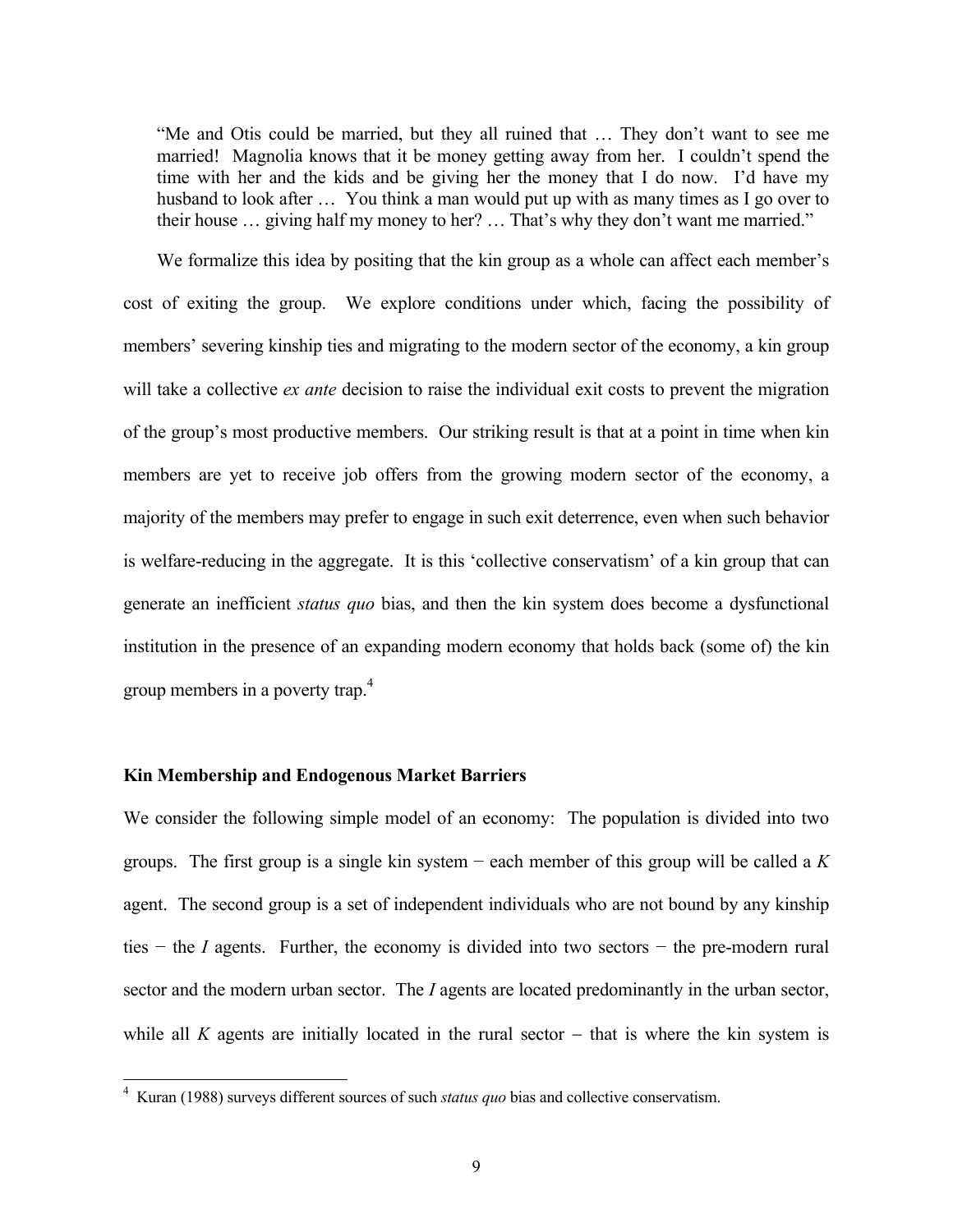"Me and Otis could be married, but they all ruined that … They don't want to see me married! Magnolia knows that it be money getting away from her. I couldn't spend the time with her and the kids and be giving her the money that I do now. I'd have my husband to look after ... You think a man would put up with as many times as I go over to their house … giving half my money to her? … That's why they don't want me married."

We formalize this idea by positing that the kin group as a whole can affect each member's cost of exiting the group. We explore conditions under which, facing the possibility of members' severing kinship ties and migrating to the modern sector of the economy, a kin group will take a collective *ex ante* decision to raise the individual exit costs to prevent the migration of the group's most productive members. Our striking result is that at a point in time when kin members are yet to receive job offers from the growing modern sector of the economy, a majority of the members may prefer to engage in such exit deterrence, even when such behavior is welfare-reducing in the aggregate. It is this 'collective conservatism' of a kin group that can generate an inefficient *status quo* bias, and then the kin system does become a dysfunctional institution in the presence of an expanding modern economy that holds back (some of) the kin group members in a poverty trap.<sup>4</sup>

#### **Kin Membership and Endogenous Market Barriers**

We consider the following simple model of an economy: The population is divided into two groups. The first group is a single kin system − each member of this group will be called a *K*  agent. The second group is a set of independent individuals who are not bound by any kinship ties − the *I* agents. Further, the economy is divided into two sectors − the pre-modern rural sector and the modern urban sector. The *I* agents are located predominantly in the urban sector, while all *K* agents are initially located in the rural sector  $-$  that is where the kin system is

 4 Kuran (1988) surveys different sources of such *status quo* bias and collective conservatism.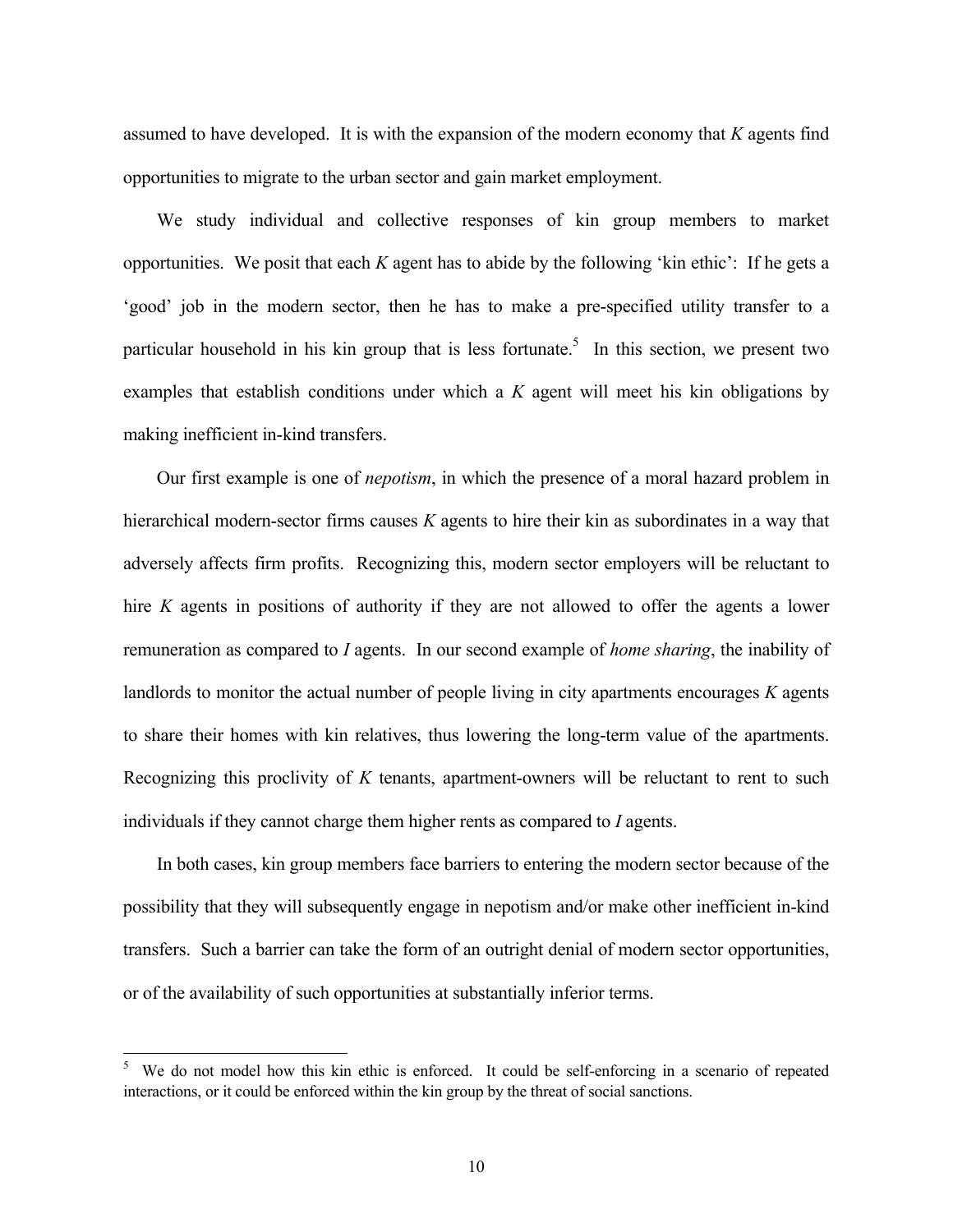assumed to have developed. It is with the expansion of the modern economy that *K* agents find opportunities to migrate to the urban sector and gain market employment.

We study individual and collective responses of kin group members to market opportunities. We posit that each *K* agent has to abide by the following 'kin ethic': If he gets a 'good' job in the modern sector, then he has to make a pre-specified utility transfer to a particular household in his kin group that is less fortunate.<sup>5</sup> In this section, we present two examples that establish conditions under which a *K* agent will meet his kin obligations by making inefficient in-kind transfers.

Our first example is one of *nepotism*, in which the presence of a moral hazard problem in hierarchical modern-sector firms causes *K* agents to hire their kin as subordinates in a way that adversely affects firm profits. Recognizing this, modern sector employers will be reluctant to hire *K* agents in positions of authority if they are not allowed to offer the agents a lower remuneration as compared to *I* agents. In our second example of *home sharing*, the inability of landlords to monitor the actual number of people living in city apartments encourages *K* agents to share their homes with kin relatives, thus lowering the long-term value of the apartments. Recognizing this proclivity of *K* tenants, apartment-owners will be reluctant to rent to such individuals if they cannot charge them higher rents as compared to *I* agents.

In both cases, kin group members face barriers to entering the modern sector because of the possibility that they will subsequently engage in nepotism and/or make other inefficient in-kind transfers. Such a barrier can take the form of an outright denial of modern sector opportunities, or of the availability of such opportunities at substantially inferior terms.

l

<sup>5</sup> We do not model how this kin ethic is enforced. It could be self-enforcing in a scenario of repeated interactions, or it could be enforced within the kin group by the threat of social sanctions.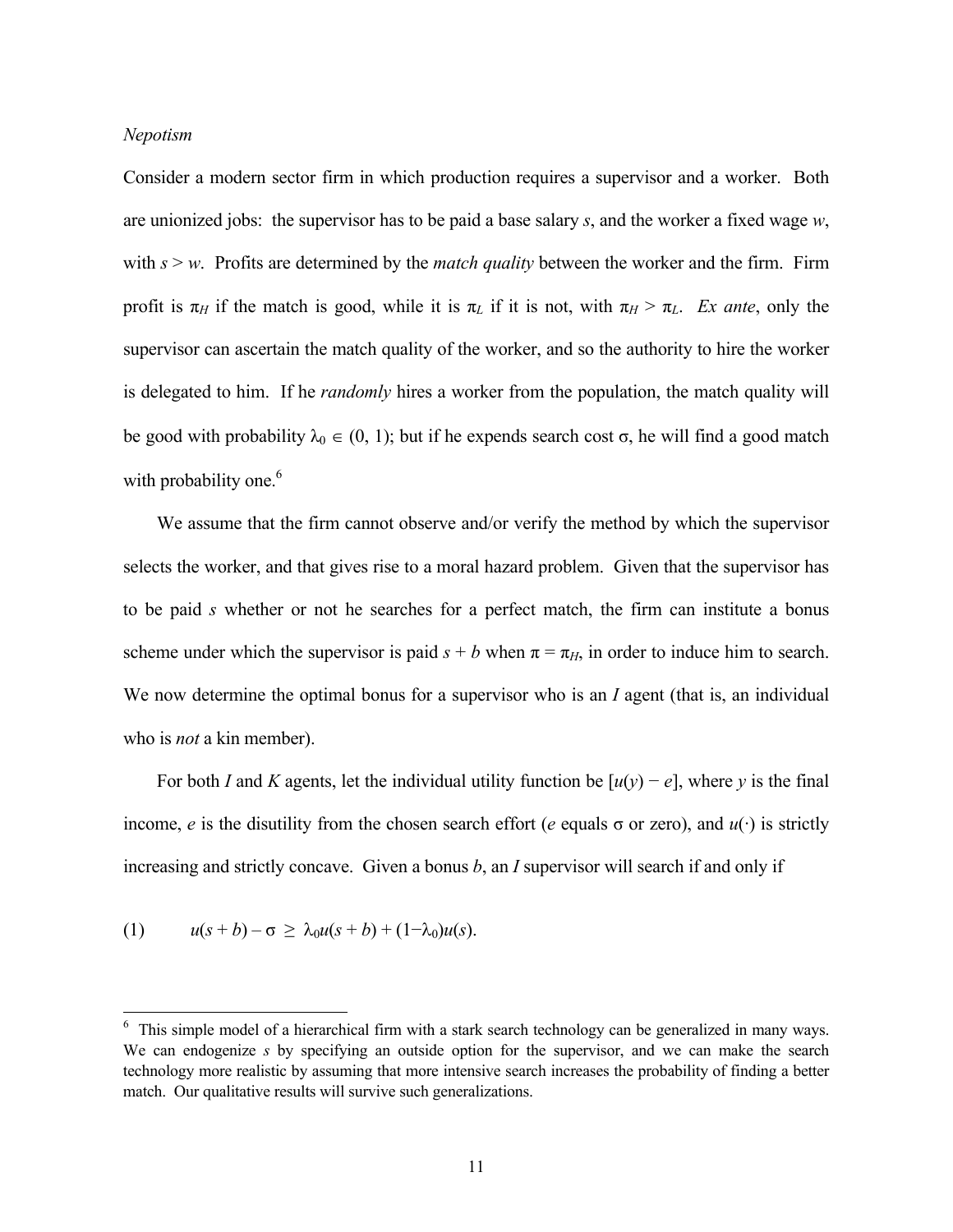#### *Nepotism*

Consider a modern sector firm in which production requires a supervisor and a worker. Both are unionized jobs: the supervisor has to be paid a base salary *s*, and the worker a fixed wage *w*, with  $s > w$ . Profits are determined by the *match quality* between the worker and the firm. Firm profit is  $\pi_H$  if the match is good, while it is  $\pi_L$  if it is not, with  $\pi_H > \pi_L$ . *Ex ante*, only the supervisor can ascertain the match quality of the worker, and so the authority to hire the worker is delegated to him. If he *randomly* hires a worker from the population, the match quality will be good with probability  $\lambda_0 \in (0, 1)$ ; but if he expends search cost  $\sigma$ , he will find a good match with probability one.<sup>6</sup>

We assume that the firm cannot observe and/or verify the method by which the supervisor selects the worker, and that gives rise to a moral hazard problem. Given that the supervisor has to be paid *s* whether or not he searches for a perfect match, the firm can institute a bonus scheme under which the supervisor is paid  $s + b$  when  $\pi = \pi_H$ , in order to induce him to search. We now determine the optimal bonus for a supervisor who is an *I* agent (that is, an individual who is *not* a kin member).

For both *I* and *K* agents, let the individual utility function be  $[u(y) - e]$ , where *y* is the final income, *e* is the disutility from the chosen search effort (*e* equals  $\sigma$  or zero), and  $u(\cdot)$  is strictly increasing and strictly concave. Given a bonus *b*, an *I* supervisor will search if and only if

(1) 
$$
u(s+b)-\sigma \geq \lambda_0 u(s+b) + (1-\lambda_0)u(s).
$$

<sup>&</sup>lt;sup>6</sup> This simple model of a hierarchical firm with a stark search technology can be generalized in many ways. We can endogenize *s* by specifying an outside option for the supervisor, and we can make the search technology more realistic by assuming that more intensive search increases the probability of finding a better match. Our qualitative results will survive such generalizations.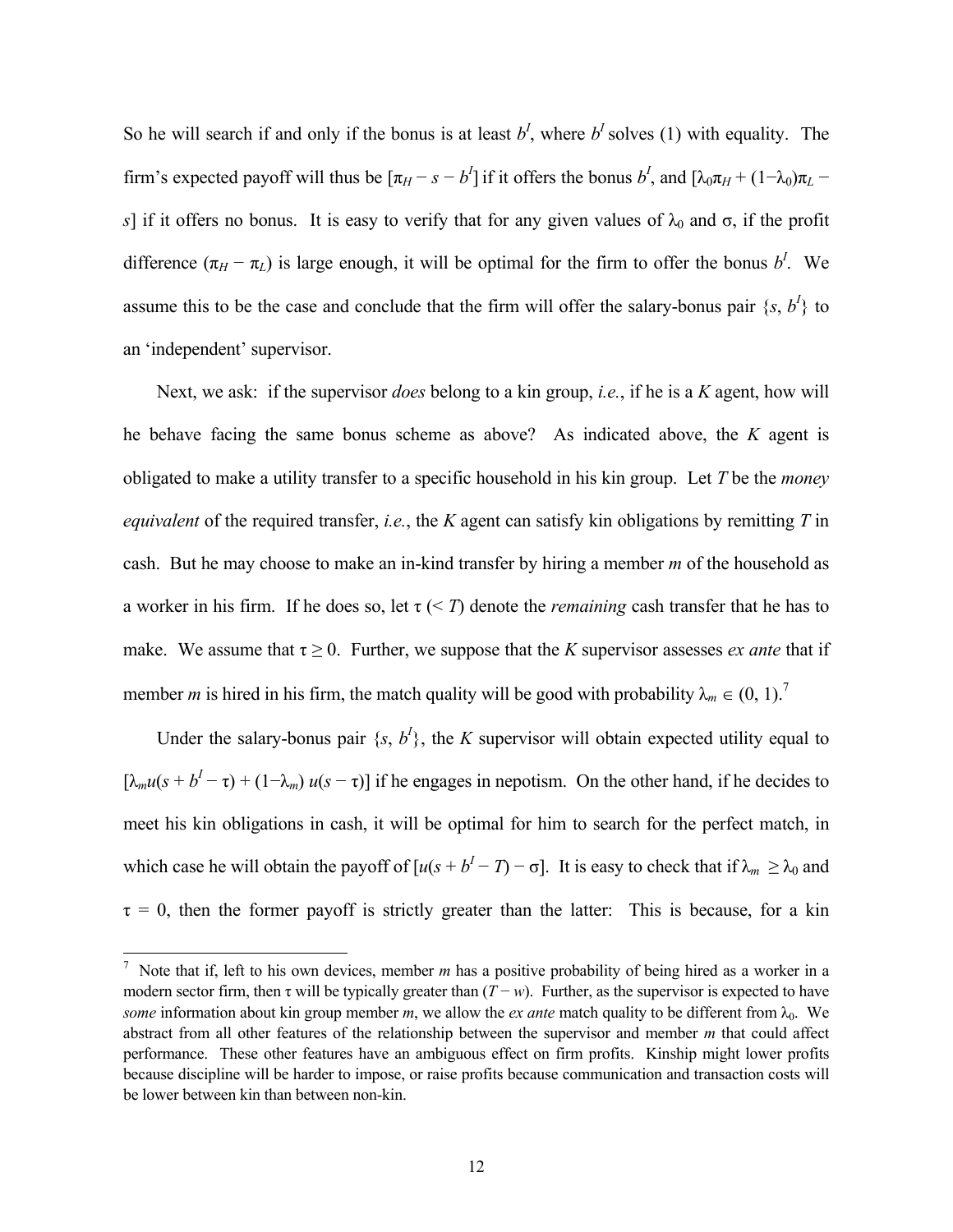So he will search if and only if the bonus is at least  $b^I$ , where  $b^I$  solves (1) with equality. The firm's expected payoff will thus be  $[\pi_H - s - b']$  if it offers the bonus  $b'$ , and  $[\lambda_0 \pi_H + (1 - \lambda_0)\pi_L$ *s*] if it offers no bonus. It is easy to verify that for any given values of  $\lambda_0$  and  $\sigma$ , if the profit difference  $(\pi_H - \pi_L)$  is large enough, it will be optimal for the firm to offer the bonus *b<sup>I</sup>*. We assume this to be the case and conclude that the firm will offer the salary-bonus pair  $\{s, b^l\}$  to an 'independent' supervisor.

Next, we ask: if the supervisor *does* belong to a kin group, *i.e.*, if he is a *K* agent, how will he behave facing the same bonus scheme as above? As indicated above, the *K* agent is obligated to make a utility transfer to a specific household in his kin group. Let *T* be the *money equivalent* of the required transfer, *i.e.*, the *K* agent can satisfy kin obligations by remitting *T* in cash. But he may choose to make an in-kind transfer by hiring a member *m* of the household as a worker in his firm. If he does so, let  $\tau$  (< *T*) denote the *remaining* cash transfer that he has to make. We assume that  $\tau \geq 0$ . Further, we suppose that the *K* supervisor assesses *ex ante* that if member *m* is hired in his firm, the match quality will be good with probability  $\lambda_m \in (0, 1)$ .<sup>7</sup>

Under the salary-bonus pair  $\{s, b^l\}$ , the *K* supervisor will obtain expected utility equal to  $[\lambda_m u(s + b^I - \tau) + (1 - \lambda_m) u(s - \tau)]$  if he engages in nepotism. On the other hand, if he decides to meet his kin obligations in cash, it will be optimal for him to search for the perfect match, in which case he will obtain the payoff of  $[u(s + b<sup>I</sup> - T) - \sigma]$ . It is easy to check that if  $\lambda_m \ge \lambda_0$  and  $\tau = 0$ , then the former payoff is strictly greater than the latter: This is because, for a kin

 7 Note that if, left to his own devices, member *m* has a positive probability of being hired as a worker in a modern sector firm, then  $\tau$  will be typically greater than  $(T - w)$ . Further, as the supervisor is expected to have *some* information about kin group member *m*, we allow the *ex ante* match quality to be different from  $\lambda_0$ . We abstract from all other features of the relationship between the supervisor and member *m* that could affect performance. These other features have an ambiguous effect on firm profits. Kinship might lower profits because discipline will be harder to impose, or raise profits because communication and transaction costs will be lower between kin than between non-kin.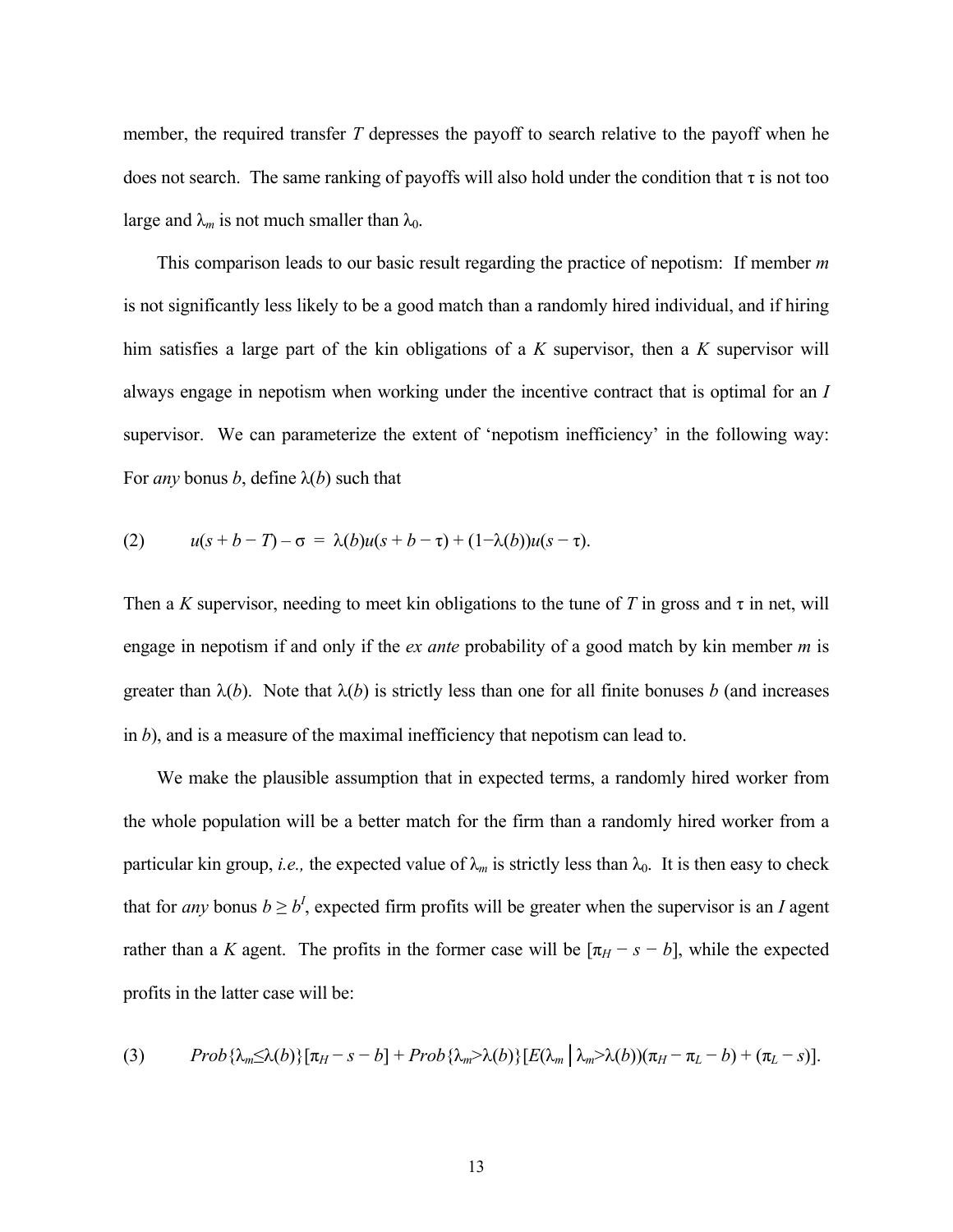member, the required transfer *T* depresses the payoff to search relative to the payoff when he does not search. The same ranking of payoffs will also hold under the condition that  $\tau$  is not too large and  $\lambda_m$  is not much smaller than  $\lambda_0$ .

This comparison leads to our basic result regarding the practice of nepotism: If member *m* is not significantly less likely to be a good match than a randomly hired individual, and if hiring him satisfies a large part of the kin obligations of a *K* supervisor, then a *K* supervisor will always engage in nepotism when working under the incentive contract that is optimal for an *I* supervisor. We can parameterize the extent of 'nepotism inefficiency' in the following way: For *any* bonus *b*, define  $\lambda(b)$  such that

(2) 
$$
u(s+b-T)-\sigma = \lambda(b)u(s+b-\tau) + (1-\lambda(b))u(s-\tau).
$$

Then a *K* supervisor, needing to meet kin obligations to the tune of *T* in gross and  $\tau$  in net, will engage in nepotism if and only if the *ex ante* probability of a good match by kin member *m* is greater than  $\lambda(b)$ . Note that  $\lambda(b)$  is strictly less than one for all finite bonuses *b* (and increases in *b*), and is a measure of the maximal inefficiency that nepotism can lead to.

We make the plausible assumption that in expected terms, a randomly hired worker from the whole population will be a better match for the firm than a randomly hired worker from a particular kin group, *i.e.*, the expected value of  $\lambda_m$  is strictly less than  $\lambda_0$ . It is then easy to check that for *any* bonus  $b \ge b^I$ , expected firm profits will be greater when the supervisor is an *I* agent rather than a *K* agent. The profits in the former case will be  $[\pi_H - s - b]$ , while the expected profits in the latter case will be:

(3) 
$$
Prob\{\lambda_m\leq \lambda(b)\}[\pi_H-s-b]+Prob\{\lambda_m>\lambda(b)\}[E(\lambda_m|\lambda_m>\lambda(b))(\pi_H-\pi_L-b)+(\pi_L-s)].
$$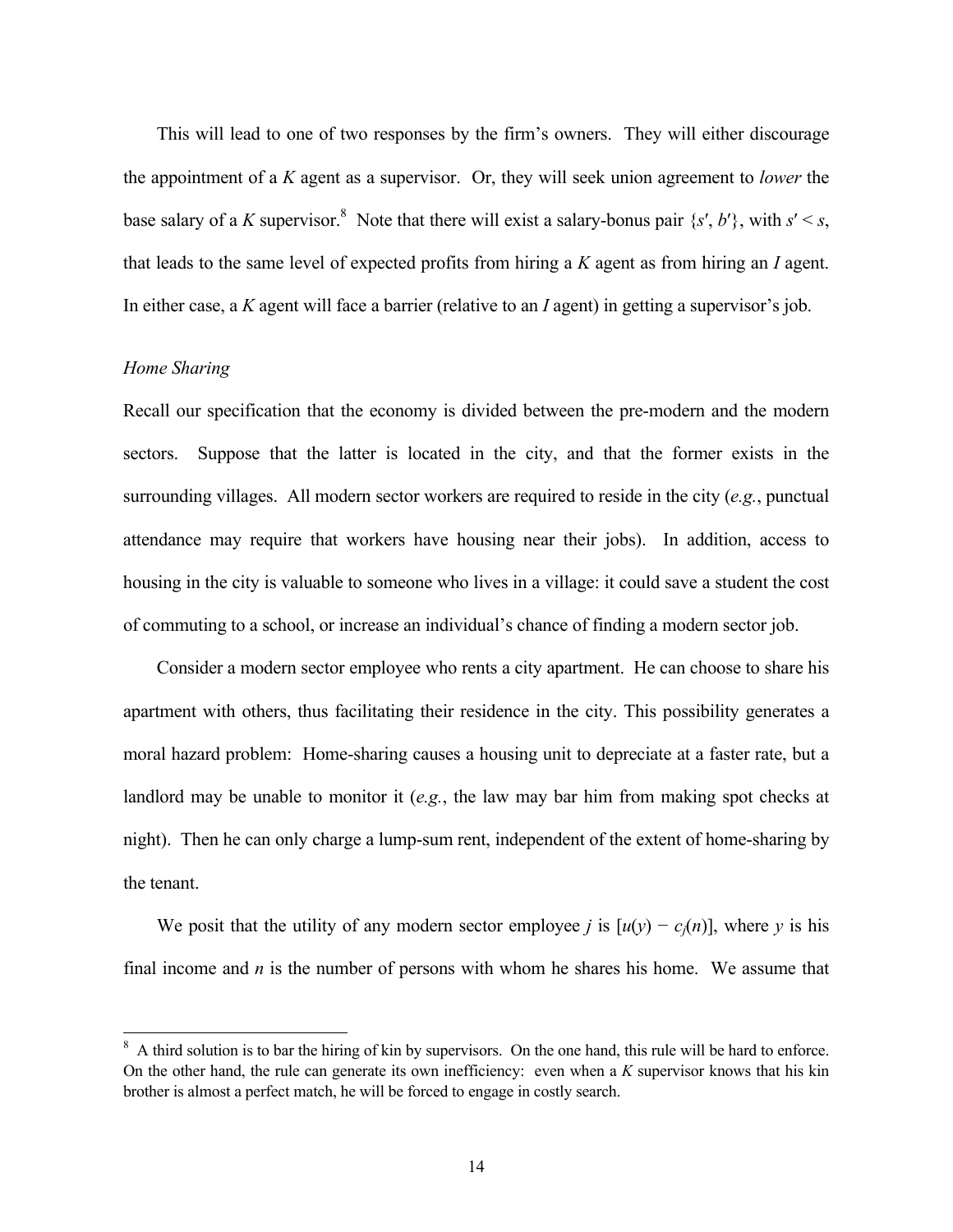This will lead to one of two responses by the firm's owners. They will either discourage the appointment of a *K* agent as a supervisor. Or, they will seek union agreement to *lower* the base salary of a *K* supervisor.<sup>8</sup> Note that there will exist a salary-bonus pair  $\{s', b'\}$ , with  $s' < s$ , that leads to the same level of expected profits from hiring a *K* agent as from hiring an *I* agent. In either case, a *K* agent will face a barrier (relative to an *I* agent) in getting a supervisor's job.

## *Home Sharing*

 $\overline{a}$ 

Recall our specification that the economy is divided between the pre-modern and the modern sectors. Suppose that the latter is located in the city, and that the former exists in the surrounding villages. All modern sector workers are required to reside in the city (*e.g.*, punctual attendance may require that workers have housing near their jobs). In addition, access to housing in the city is valuable to someone who lives in a village: it could save a student the cost of commuting to a school, or increase an individual's chance of finding a modern sector job.

Consider a modern sector employee who rents a city apartment. He can choose to share his apartment with others, thus facilitating their residence in the city. This possibility generates a moral hazard problem: Home-sharing causes a housing unit to depreciate at a faster rate, but a landlord may be unable to monitor it (*e.g.*, the law may bar him from making spot checks at night). Then he can only charge a lump-sum rent, independent of the extent of home-sharing by the tenant.

We posit that the utility of any modern sector employee *j* is  $[u(y) - c_i(n)]$ , where *y* is his final income and *n* is the number of persons with whom he shares his home. We assume that

<sup>8</sup> A third solution is to bar the hiring of kin by supervisors. On the one hand, this rule will be hard to enforce. On the other hand, the rule can generate its own inefficiency: even when a *K* supervisor knows that his kin brother is almost a perfect match, he will be forced to engage in costly search.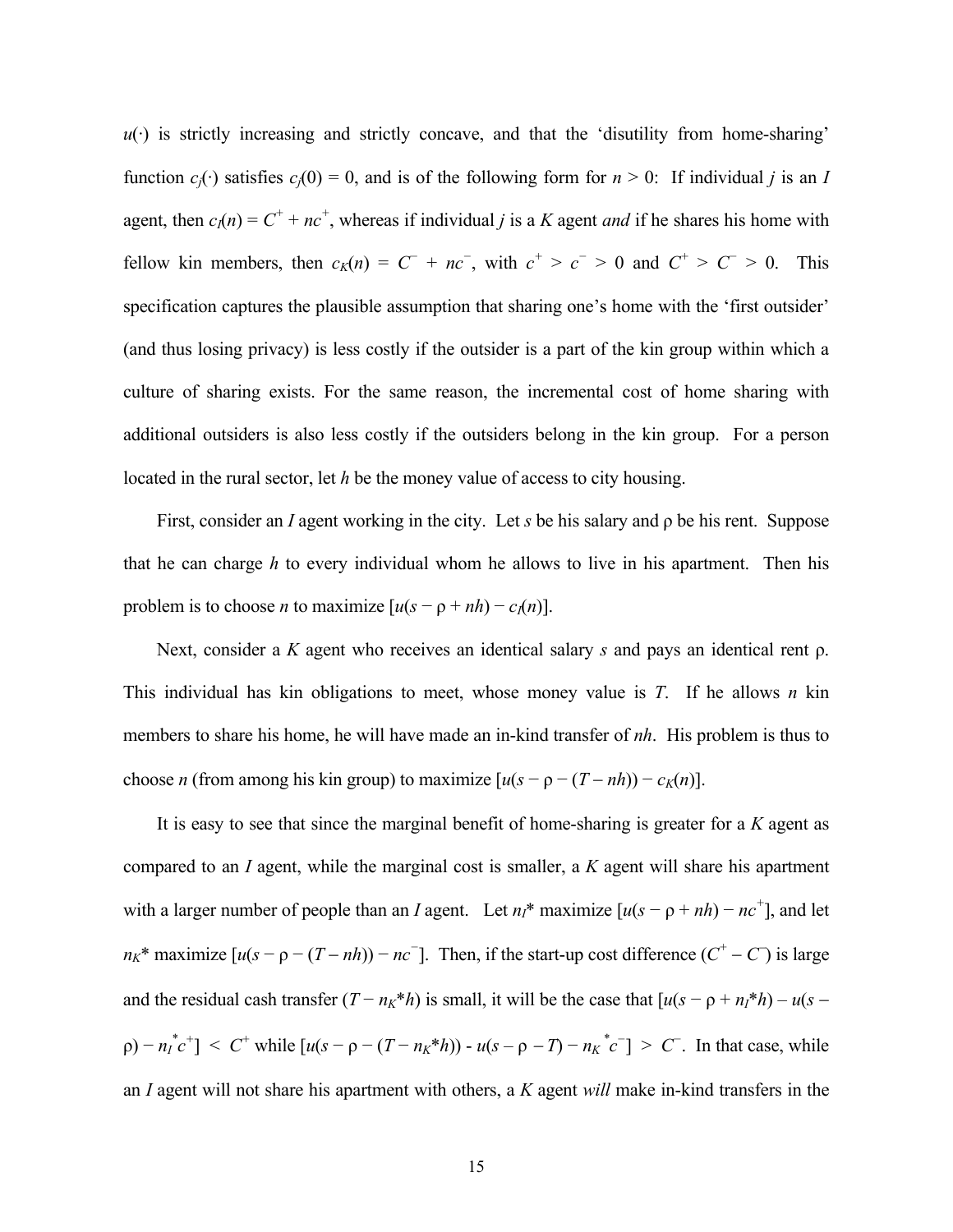$u(\cdot)$  is strictly increasing and strictly concave, and that the 'disutility from home-sharing' function  $c_j(\cdot)$  satisfies  $c_j(0) = 0$ , and is of the following form for  $n > 0$ : If individual *j* is an *I* agent, then  $c_I(n) = C^+ + nc^+$ , whereas if individual *j* is a *K* agent *and* if he shares his home with fellow kin members, then  $c_K(n) = C^+ + nc^-$ , with  $c^+ > c^- > 0$  and  $C^+ > C^- > 0$ . This specification captures the plausible assumption that sharing one's home with the 'first outsider' (and thus losing privacy) is less costly if the outsider is a part of the kin group within which a culture of sharing exists. For the same reason, the incremental cost of home sharing with additional outsiders is also less costly if the outsiders belong in the kin group. For a person located in the rural sector, let *h* be the money value of access to city housing.

First, consider an *I* agent working in the city. Let *s* be his salary and ρ be his rent. Suppose that he can charge *h* to every individual whom he allows to live in his apartment. Then his problem is to choose *n* to maximize  $[u(s - \rho + nh) - c_I(n)]$ .

Next, consider a *K* agent who receives an identical salary *s* and pays an identical rent ρ. This individual has kin obligations to meet, whose money value is *T*. If he allows *n* kin members to share his home, he will have made an in-kind transfer of *nh*. His problem is thus to choose *n* (from among his kin group) to maximize  $[u(s - \rho - (T - nh)) - c_K(n)]$ .

It is easy to see that since the marginal benefit of home-sharing is greater for a *K* agent as compared to an *I* agent, while the marginal cost is smaller, a *K* agent will share his apartment with a larger number of people than an *I* agent. Let  $n_1^*$  maximize  $[u(s - \rho + nh) - nc^+]$ , and let  $n_K^*$  maximize  $[u(s - \rho - (T - nh)) - nc^{-}]$ . Then, if the start-up cost difference  $(C^+ - C)$  is large and the residual cash transfer  $(T - n_K * h)$  is small, it will be the case that  $[u(s - \rho + n_I * h) - u(s$  $p(-n_1^*c^+)$  < C<sup>+</sup> while  $[u(s - \rho - (T - n_K * h)) - u(s - \rho - T) - n_K^*c^-] > C^-$ . In that case, while an *I* agent will not share his apartment with others, a *K* agent *will* make in-kind transfers in the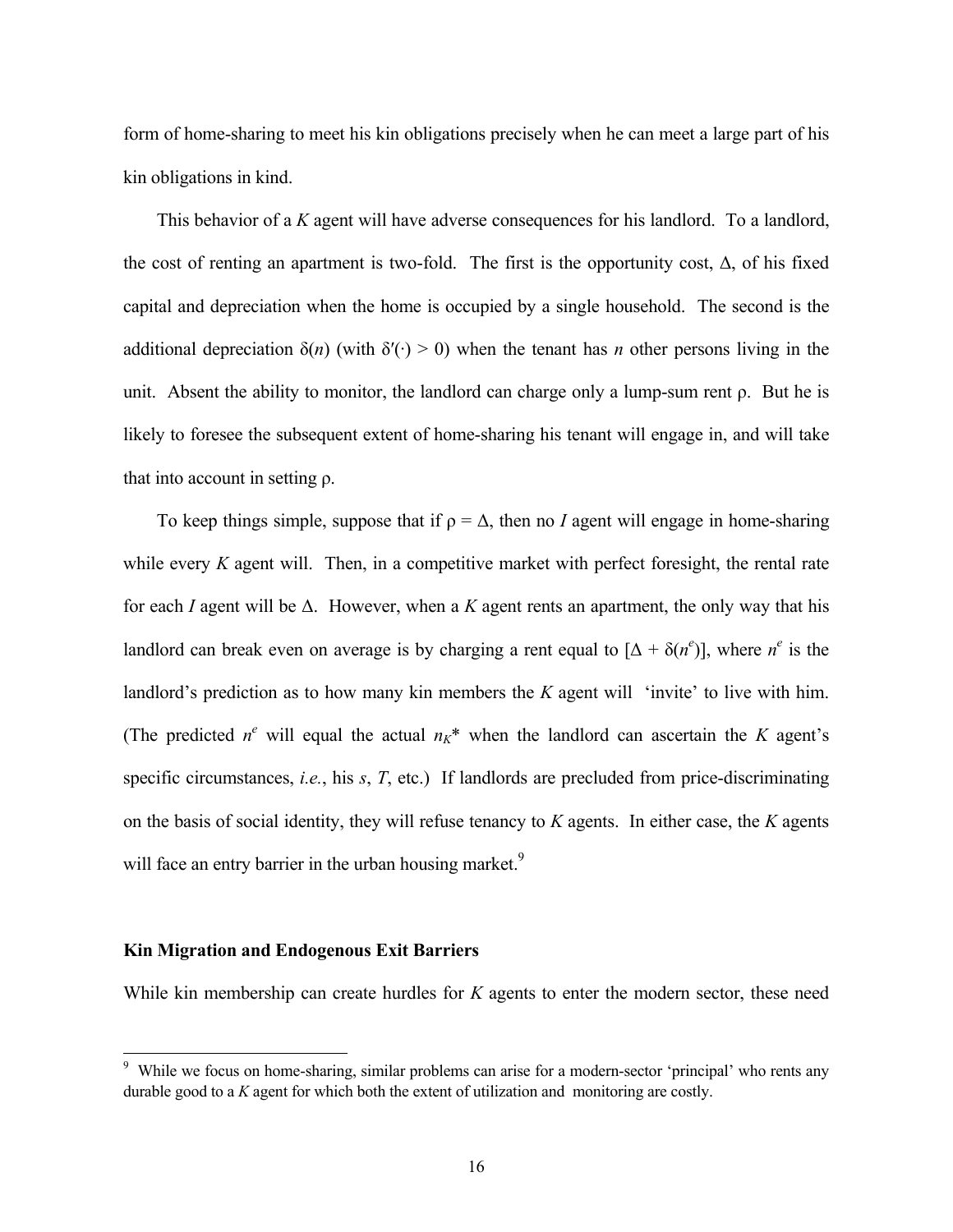form of home-sharing to meet his kin obligations precisely when he can meet a large part of his kin obligations in kind.

This behavior of a *K* agent will have adverse consequences for his landlord. To a landlord, the cost of renting an apartment is two-fold. The first is the opportunity cost,  $\Delta$ , of his fixed capital and depreciation when the home is occupied by a single household. The second is the additional depreciation  $\delta(n)$  (with  $\delta'(\cdot) > 0$ ) when the tenant has *n* other persons living in the unit. Absent the ability to monitor, the landlord can charge only a lump-sum rent  $\rho$ . But he is likely to foresee the subsequent extent of home-sharing his tenant will engage in, and will take that into account in setting ρ.

To keep things simple, suppose that if  $\rho = \Delta$ , then no *I* agent will engage in home-sharing while every *K* agent will. Then, in a competitive market with perfect foresight, the rental rate for each *I* agent will be ∆. However, when a *K* agent rents an apartment, the only way that his landlord can break even on average is by charging a rent equal to  $[\Delta + \delta(n^e)]$ , where  $n^e$  is the landlord's prediction as to how many kin members the *K* agent will 'invite' to live with him. (The predicted  $n^e$  will equal the actual  $n_k^*$  when the landlord can ascertain the *K* agent's specific circumstances, *i.e.*, his *s*, *T*, etc.) If landlords are precluded from price-discriminating on the basis of social identity, they will refuse tenancy to *K* agents. In either case, the *K* agents will face an entry barrier in the urban housing market.<sup>9</sup>

#### **Kin Migration and Endogenous Exit Barriers**

While kin membership can create hurdles for *K* agents to enter the modern sector, these need

<sup>&</sup>lt;sup>9</sup> While we focus on home-sharing, similar problems can arise for a modern-sector 'principal' who rents any durable good to a *K* agent for which both the extent of utilization and monitoring are costly.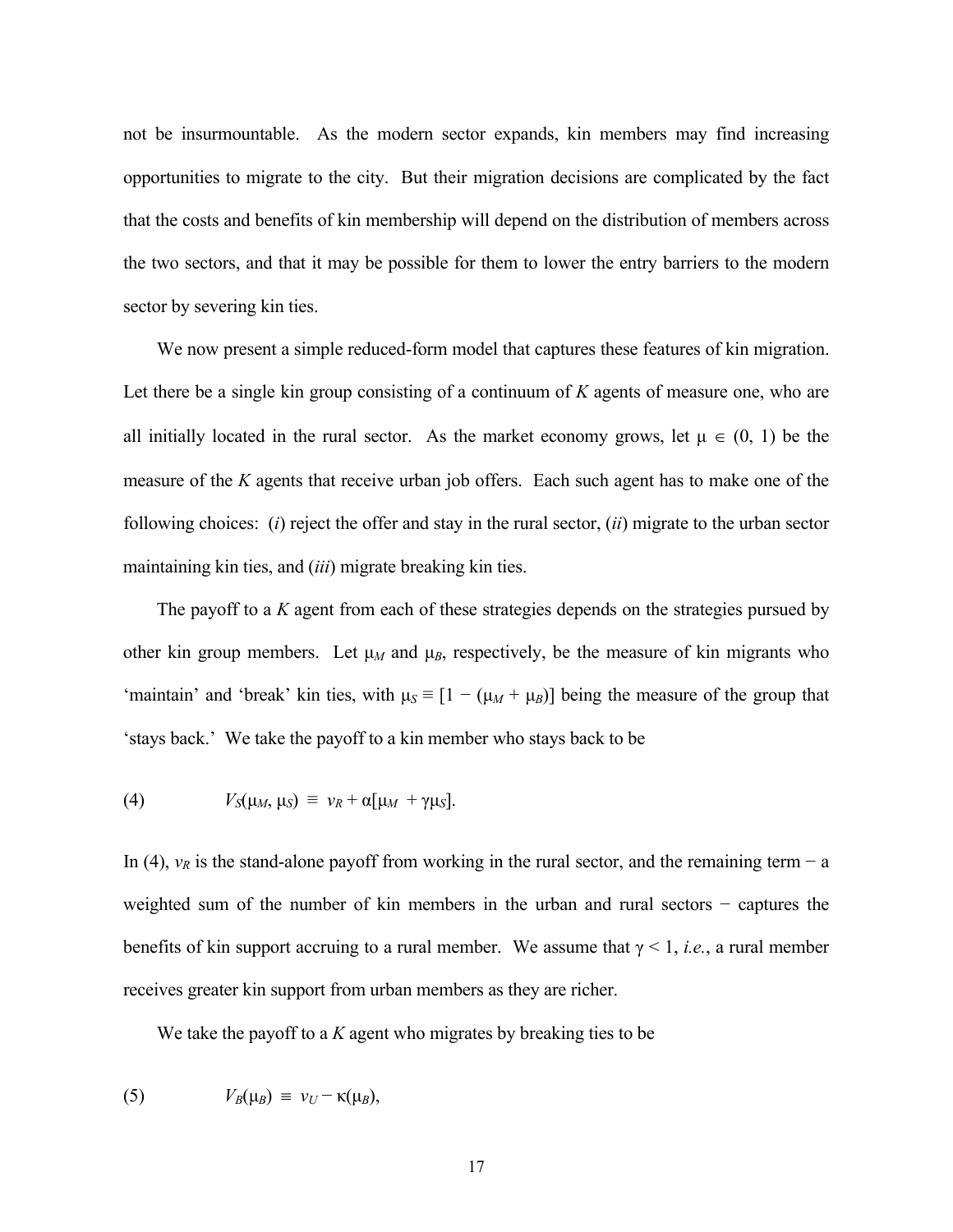not be insurmountable. As the modern sector expands, kin members may find increasing opportunities to migrate to the city. But their migration decisions are complicated by the fact that the costs and benefits of kin membership will depend on the distribution of members across the two sectors, and that it may be possible for them to lower the entry barriers to the modern sector by severing kin ties.

We now present a simple reduced-form model that captures these features of kin migration. Let there be a single kin group consisting of a continuum of *K* agents of measure one, who are all initially located in the rural sector. As the market economy grows, let  $\mu \in (0, 1)$  be the measure of the *K* agents that receive urban job offers. Each such agent has to make one of the following choices: (*i*) reject the offer and stay in the rural sector, (*ii*) migrate to the urban sector maintaining kin ties, and (*iii*) migrate breaking kin ties.

 The payoff to a *K* agent from each of these strategies depends on the strategies pursued by other kin group members. Let  $\mu_M$  and  $\mu_B$ , respectively, be the measure of kin migrants who 'maintain' and 'break' kin ties, with  $\mu_S \equiv [1 - (\mu_M + \mu_B)]$  being the measure of the group that 'stays back.' We take the payoff to a kin member who stays back to be

(4) 
$$
V_S(\mu_M, \mu_S) \equiv v_R + \alpha[\mu_M + \gamma \mu_S].
$$

In (4),  $v_R$  is the stand-alone payoff from working in the rural sector, and the remaining term – a weighted sum of the number of kin members in the urban and rural sectors − captures the benefits of kin support accruing to a rural member. We assume that  $\gamma$  < 1, *i.e.*, a rural member receives greater kin support from urban members as they are richer.

We take the payoff to a *K* agent who migrates by breaking ties to be

(5) 
$$
V_B(\mu_B) \equiv v_U - \kappa(\mu_B),
$$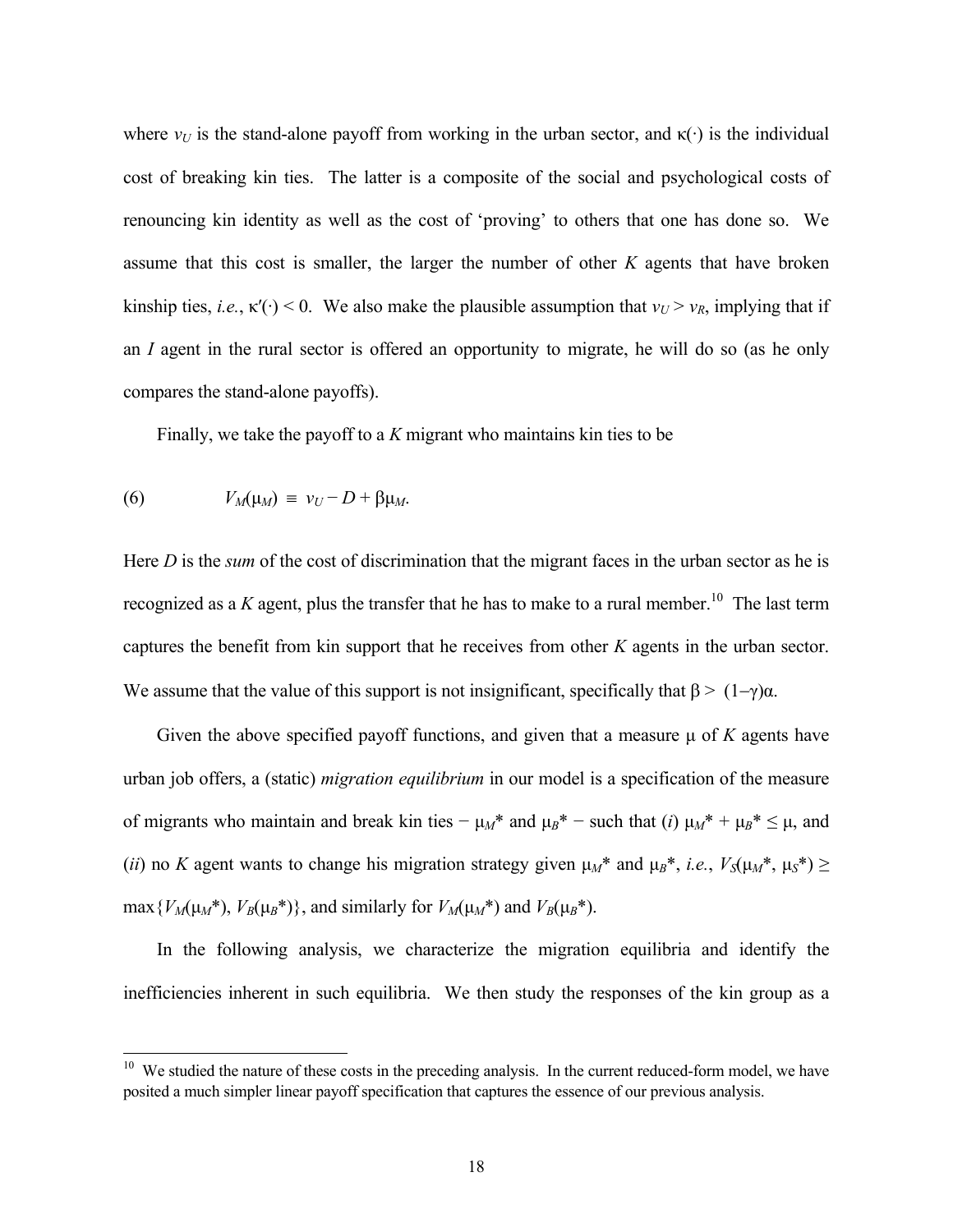where  $v_U$  is the stand-alone payoff from working in the urban sector, and  $\kappa(\cdot)$  is the individual cost of breaking kin ties. The latter is a composite of the social and psychological costs of renouncing kin identity as well as the cost of 'proving' to others that one has done so. We assume that this cost is smaller, the larger the number of other *K* agents that have broken kinship ties, *i.e.*,  $\kappa'(\cdot) < 0$ . We also make the plausible assumption that  $v_U > v_R$ , implying that if an *I* agent in the rural sector is offered an opportunity to migrate, he will do so (as he only compares the stand-alone payoffs).

Finally, we take the payoff to a *K* migrant who maintains kin ties to be

(6) 
$$
V_M(\mu_M) = v_U - D + \beta \mu_M.
$$

l

Here *D* is the *sum* of the cost of discrimination that the migrant faces in the urban sector as he is recognized as a  $K$  agent, plus the transfer that he has to make to a rural member.<sup>10</sup> The last term captures the benefit from kin support that he receives from other *K* agents in the urban sector. We assume that the value of this support is not insignificant, specifically that  $\beta$  > (1–γ) $\alpha$ .

Given the above specified payoff functions, and given that a measure  $\mu$  of  $K$  agents have urban job offers, a (static) *migration equilibrium* in our model is a specification of the measure of migrants who maintain and break kin ties  $-\mu_M^*$  and  $\mu_B^*$  – such that (*i*)  $\mu_M^* + \mu_B^* \leq \mu$ , and (*ii*) no *K* agent wants to change his migration strategy given  $\mu_M^*$  and  $\mu_B^*$ , *i.e.*,  $V_S(\mu_M^*, \mu_S^*) \geq$ max  $\{V_M(\mu_M^*), V_B(\mu_B^*)\}$ , and similarly for  $V_M(\mu_M^*)$  and  $V_B(\mu_B^*)$ .

 In the following analysis, we characterize the migration equilibria and identify the inefficiencies inherent in such equilibria. We then study the responses of the kin group as a

 $10$  We studied the nature of these costs in the preceding analysis. In the current reduced-form model, we have posited a much simpler linear payoff specification that captures the essence of our previous analysis.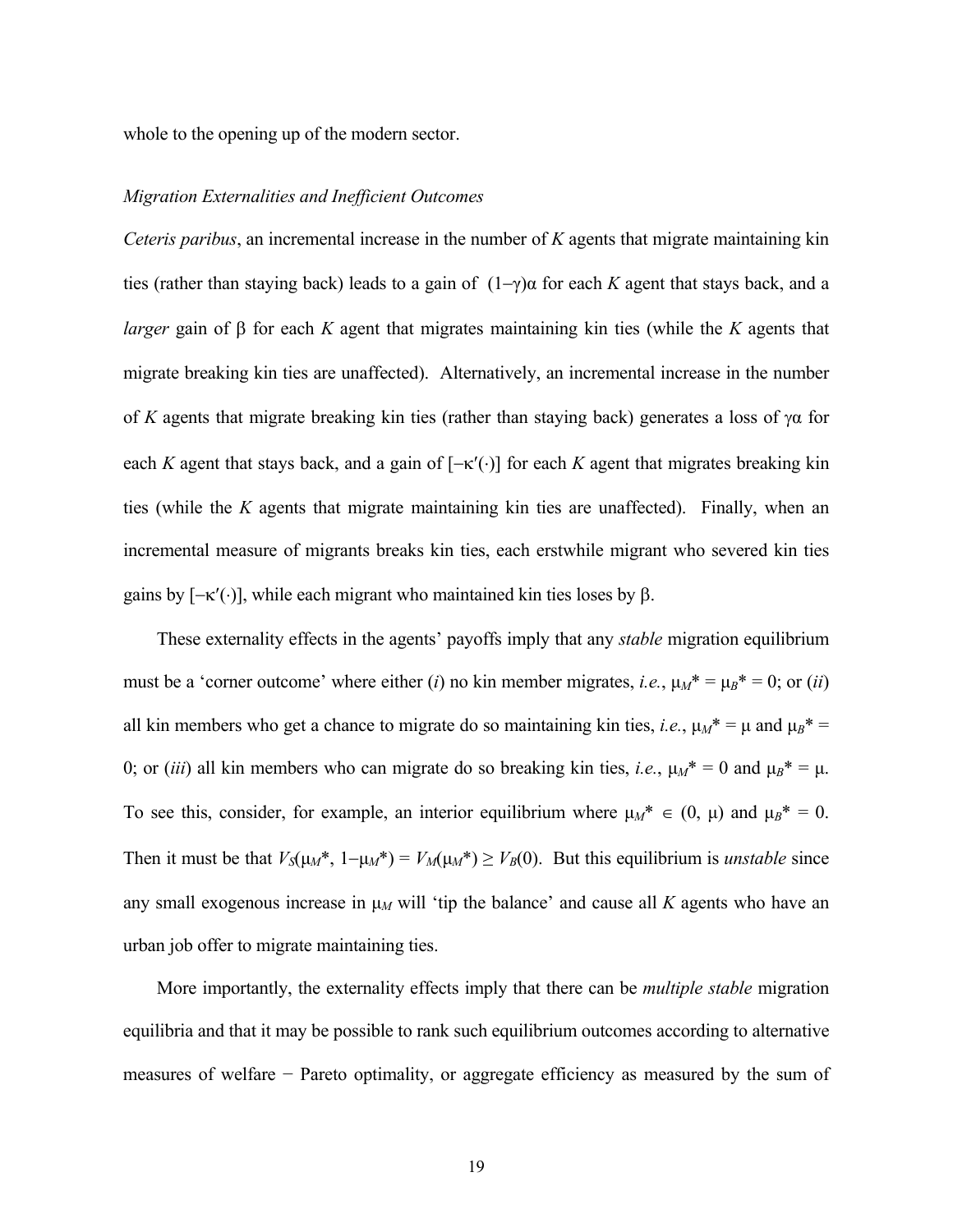whole to the opening up of the modern sector.

## *Migration Externalities and Inefficient Outcomes*

*Ceteris paribus*, an incremental increase in the number of *K* agents that migrate maintaining kin ties (rather than staying back) leads to a gain of (1−γ)α for each *K* agent that stays back, and a *larger* gain of β for each *K* agent that migrates maintaining kin ties (while the *K* agents that migrate breaking kin ties are unaffected). Alternatively, an incremental increase in the number of *K* agents that migrate breaking kin ties (rather than staying back) generates a loss of γα for each *K* agent that stays back, and a gain of  $[-\kappa(\cdot)]$  for each *K* agent that migrates breaking kin ties (while the *K* agents that migrate maintaining kin ties are unaffected). Finally, when an incremental measure of migrants breaks kin ties, each erstwhile migrant who severed kin ties gains by  $[-κ'(\cdot)]$ , while each migrant who maintained kin ties loses by β.

 These externality effects in the agents' payoffs imply that any *stable* migration equilibrium must be a 'corner outcome' where either (*i*) no kin member migrates, *i.e.*,  $\mu_M^* = \mu_B^* = 0$ ; or (*ii*) all kin members who get a chance to migrate do so maintaining kin ties, *i.e.*,  $\mu_M^* = \mu$  and  $\mu_B^* =$ 0; or (*iii*) all kin members who can migrate do so breaking kin ties, *i.e.*,  $\mu_M^* = 0$  and  $\mu_B^* = \mu$ . To see this, consider, for example, an interior equilibrium where  $\mu_M^* \in (0, \mu)$  and  $\mu_B^* = 0$ . Then it must be that  $V_S(\mu_M^*, 1-\mu_M^*) = V_M(\mu_M^*) \ge V_B(0)$ . But this equilibrium is *unstable* since any small exogenous increase in  $\mu$ *M* will 'tip the balance' and cause all *K* agents who have an urban job offer to migrate maintaining ties.

 More importantly, the externality effects imply that there can be *multiple stable* migration equilibria and that it may be possible to rank such equilibrium outcomes according to alternative measures of welfare − Pareto optimality, or aggregate efficiency as measured by the sum of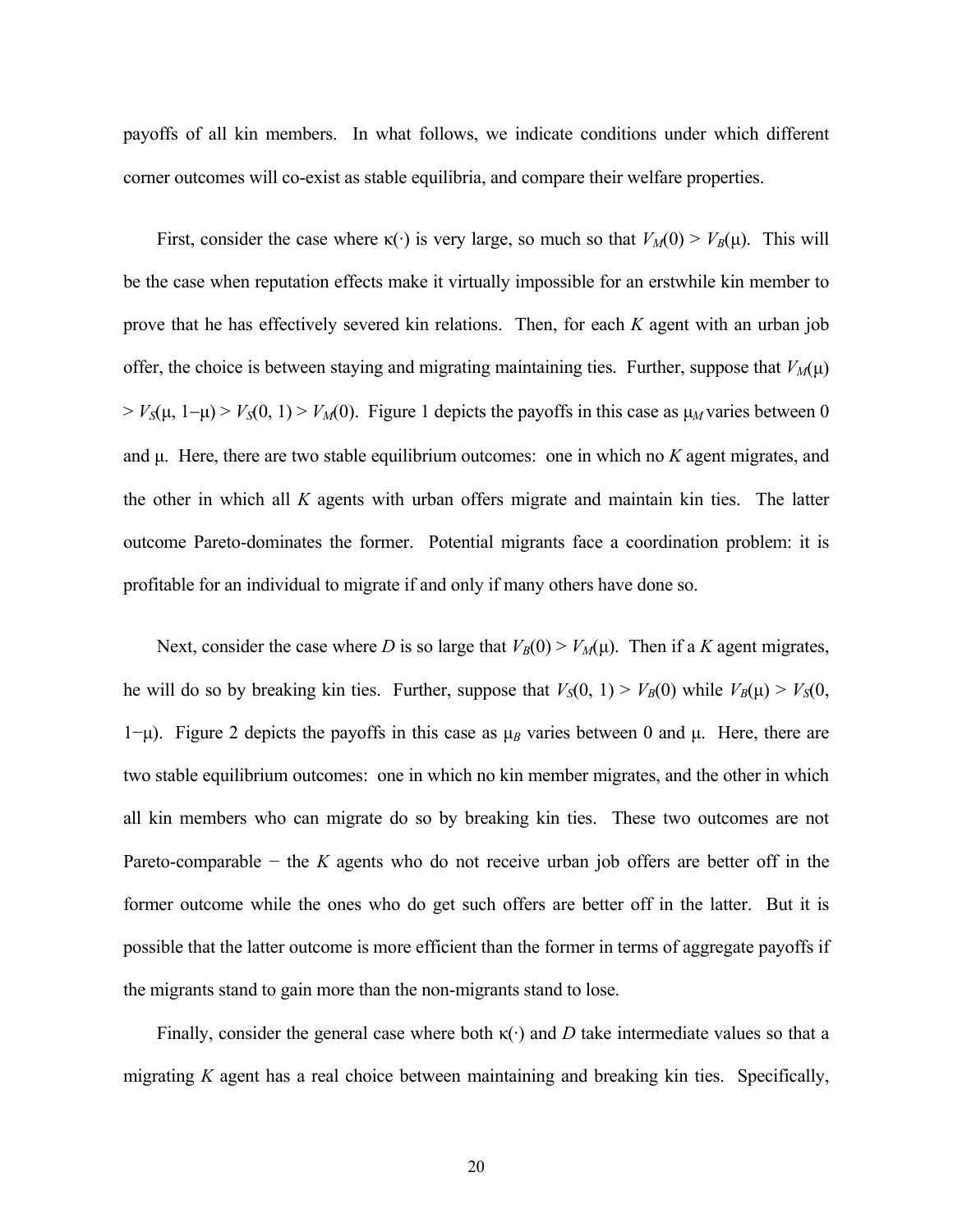payoffs of all kin members. In what follows, we indicate conditions under which different corner outcomes will co-exist as stable equilibria, and compare their welfare properties.

First, consider the case where  $\kappa(\cdot)$  is very large, so much so that  $V_M(0) > V_B(\mu)$ . This will be the case when reputation effects make it virtually impossible for an erstwhile kin member to prove that he has effectively severed kin relations. Then, for each *K* agent with an urban job offer, the choice is between staying and migrating maintaining ties. Further, suppose that  $V_M(\mu)$  $> V<sub>S</sub>(\mu, 1-\mu) > V<sub>S</sub>(0, 1) > V<sub>M</sub>(0)$ . Figure 1 depicts the payoffs in this case as  $\mu<sub>M</sub>$  varies between 0 and  $\mu$ . Here, there are two stable equilibrium outcomes: one in which no  $K$  agent migrates, and the other in which all *K* agents with urban offers migrate and maintain kin ties. The latter outcome Pareto-dominates the former. Potential migrants face a coordination problem: it is profitable for an individual to migrate if and only if many others have done so.

Next, consider the case where *D* is so large that  $V_B(0) > V_M(\mu)$ . Then if a *K* agent migrates, he will do so by breaking kin ties. Further, suppose that  $V_S(0, 1) > V_B(0)$  while  $V_B(\mu) > V_S(0, 1)$ 1−µ). Figure 2 depicts the payoffs in this case as µ*B* varies between 0 and µ. Here, there are two stable equilibrium outcomes: one in which no kin member migrates, and the other in which all kin members who can migrate do so by breaking kin ties. These two outcomes are not Pareto-comparable − the *K* agents who do not receive urban job offers are better off in the former outcome while the ones who do get such offers are better off in the latter. But it is possible that the latter outcome is more efficient than the former in terms of aggregate payoffs if the migrants stand to gain more than the non-migrants stand to lose.

Finally, consider the general case where both  $\kappa(\cdot)$  and *D* take intermediate values so that a migrating *K* agent has a real choice between maintaining and breaking kin ties. Specifically,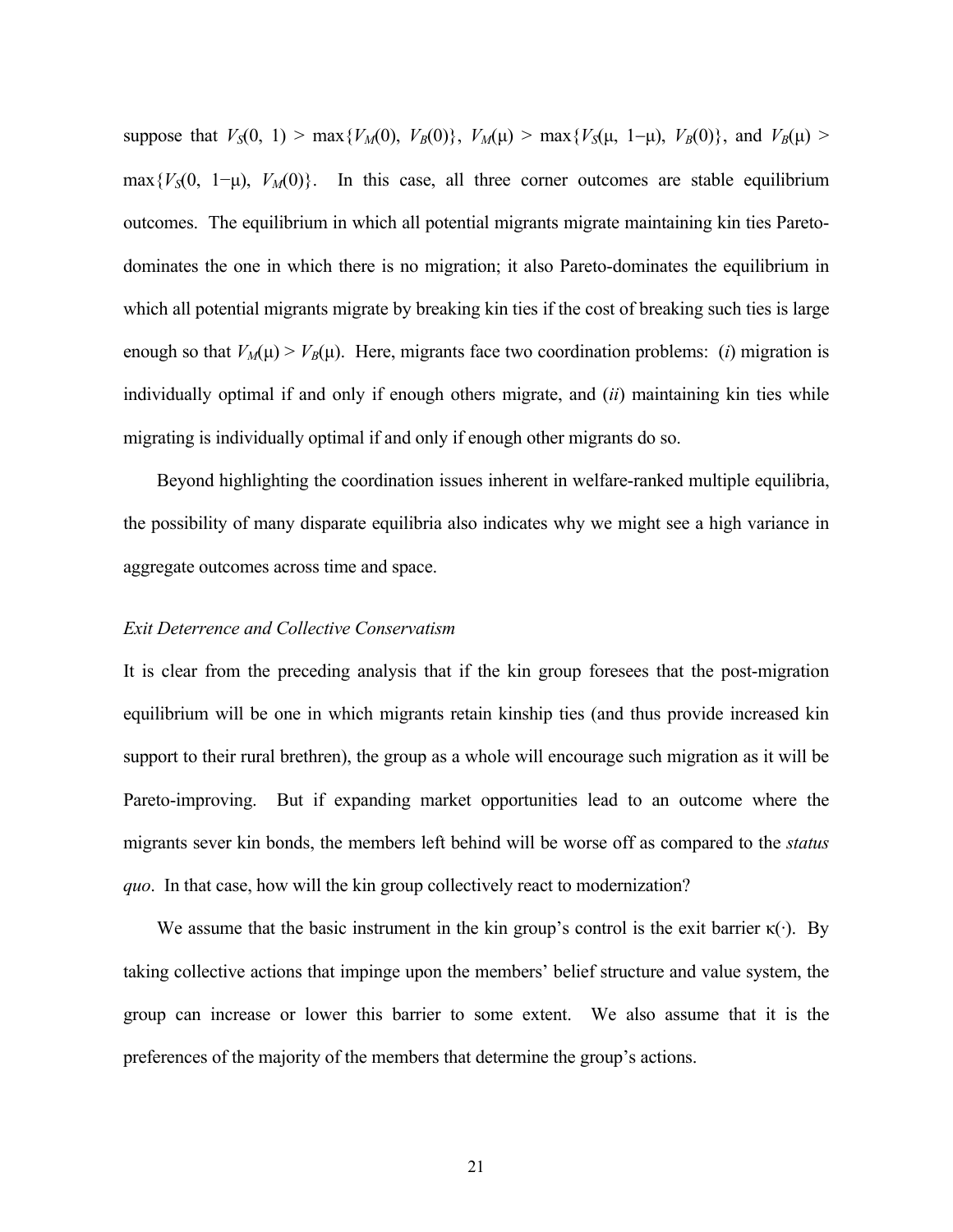suppose that  $V_S(0, 1) > \max\{V_M(0), V_B(0)\}, V_M(\mu) > \max\{V_S(\mu, 1-\mu), V_B(0)\},$  and  $V_B(\mu) >$ max ${V_S}(0, 1-\mu)$ ,  $V_M(0)$ . In this case, all three corner outcomes are stable equilibrium outcomes. The equilibrium in which all potential migrants migrate maintaining kin ties Paretodominates the one in which there is no migration; it also Pareto-dominates the equilibrium in which all potential migrants migrate by breaking kin ties if the cost of breaking such ties is large enough so that  $V_M(\mu) > V_B(\mu)$ . Here, migrants face two coordination problems: (*i*) migration is individually optimal if and only if enough others migrate, and (*ii*) maintaining kin ties while migrating is individually optimal if and only if enough other migrants do so.

Beyond highlighting the coordination issues inherent in welfare-ranked multiple equilibria, the possibility of many disparate equilibria also indicates why we might see a high variance in aggregate outcomes across time and space.

#### *Exit Deterrence and Collective Conservatism*

It is clear from the preceding analysis that if the kin group foresees that the post-migration equilibrium will be one in which migrants retain kinship ties (and thus provide increased kin support to their rural brethren), the group as a whole will encourage such migration as it will be Pareto-improving. But if expanding market opportunities lead to an outcome where the migrants sever kin bonds, the members left behind will be worse off as compared to the *status quo*. In that case, how will the kin group collectively react to modernization?

We assume that the basic instrument in the kin group's control is the exit barrier  $\kappa(\cdot)$ . By taking collective actions that impinge upon the members' belief structure and value system, the group can increase or lower this barrier to some extent. We also assume that it is the preferences of the majority of the members that determine the group's actions.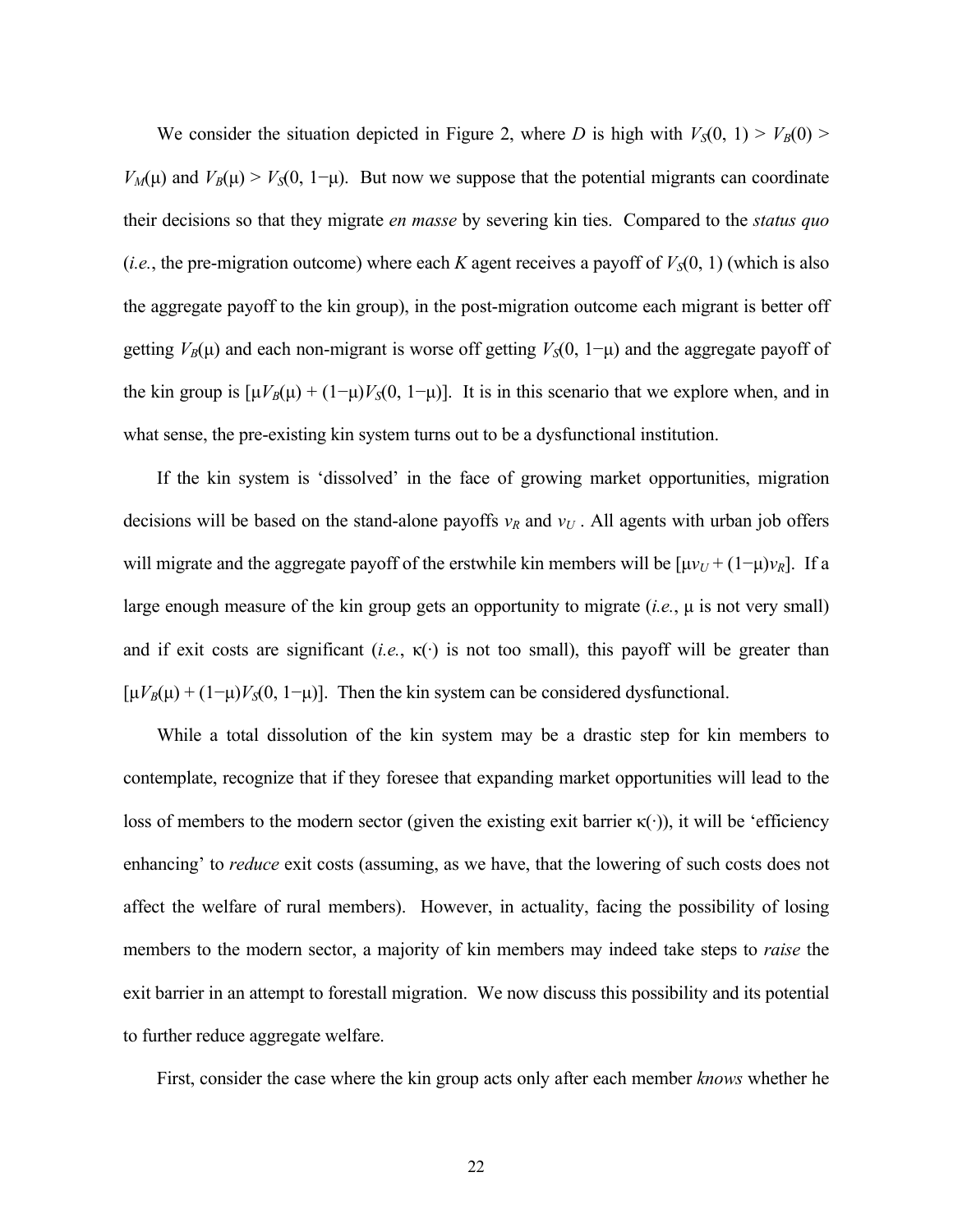We consider the situation depicted in Figure 2, where *D* is high with  $V_S(0, 1) > V_B(0)$ *V<sub>M</sub>*( $\mu$ ) and *V<sub>B</sub>*( $\mu$ ) > *V<sub>S</sub>*(0, 1– $\mu$ ). But now we suppose that the potential migrants can coordinate their decisions so that they migrate *en masse* by severing kin ties. Compared to the *status quo* (*i.e.*, the pre-migration outcome) where each *K* agent receives a payoff of  $V<sub>S</sub>(0, 1)$  (which is also the aggregate payoff to the kin group), in the post-migration outcome each migrant is better off getting  $V_B(\mu)$  and each non-migrant is worse off getting  $V_S(0, 1-\mu)$  and the aggregate payoff of the kin group is  $[\mu V_B(\mu) + (1-\mu)V_S(0, 1-\mu)]$ . It is in this scenario that we explore when, and in what sense, the pre-existing kin system turns out to be a dysfunctional institution.

 If the kin system is 'dissolved' in the face of growing market opportunities, migration decisions will be based on the stand-alone payoffs  $v_R$  and  $v_U$ . All agents with urban job offers will migrate and the aggregate payoff of the erstwhile kin members will be  $[\mu v_U + (1-\mu)v_R]$ . If a large enough measure of the kin group gets an opportunity to migrate  $(i.e., \mu \text{ is not very small})$ and if exit costs are significant (*i.e.*,  $\kappa(\cdot)$  is not too small), this payoff will be greater than  $[\mu V_B(\mu) + (1-\mu)V_S(0, 1-\mu)]$ . Then the kin system can be considered dysfunctional.

 While a total dissolution of the kin system may be a drastic step for kin members to contemplate, recognize that if they foresee that expanding market opportunities will lead to the loss of members to the modern sector (given the existing exit barrier  $\kappa(\cdot)$ ), it will be 'efficiency enhancing' to *reduce* exit costs (assuming, as we have, that the lowering of such costs does not affect the welfare of rural members). However, in actuality, facing the possibility of losing members to the modern sector, a majority of kin members may indeed take steps to *raise* the exit barrier in an attempt to forestall migration. We now discuss this possibility and its potential to further reduce aggregate welfare.

First, consider the case where the kin group acts only after each member *knows* whether he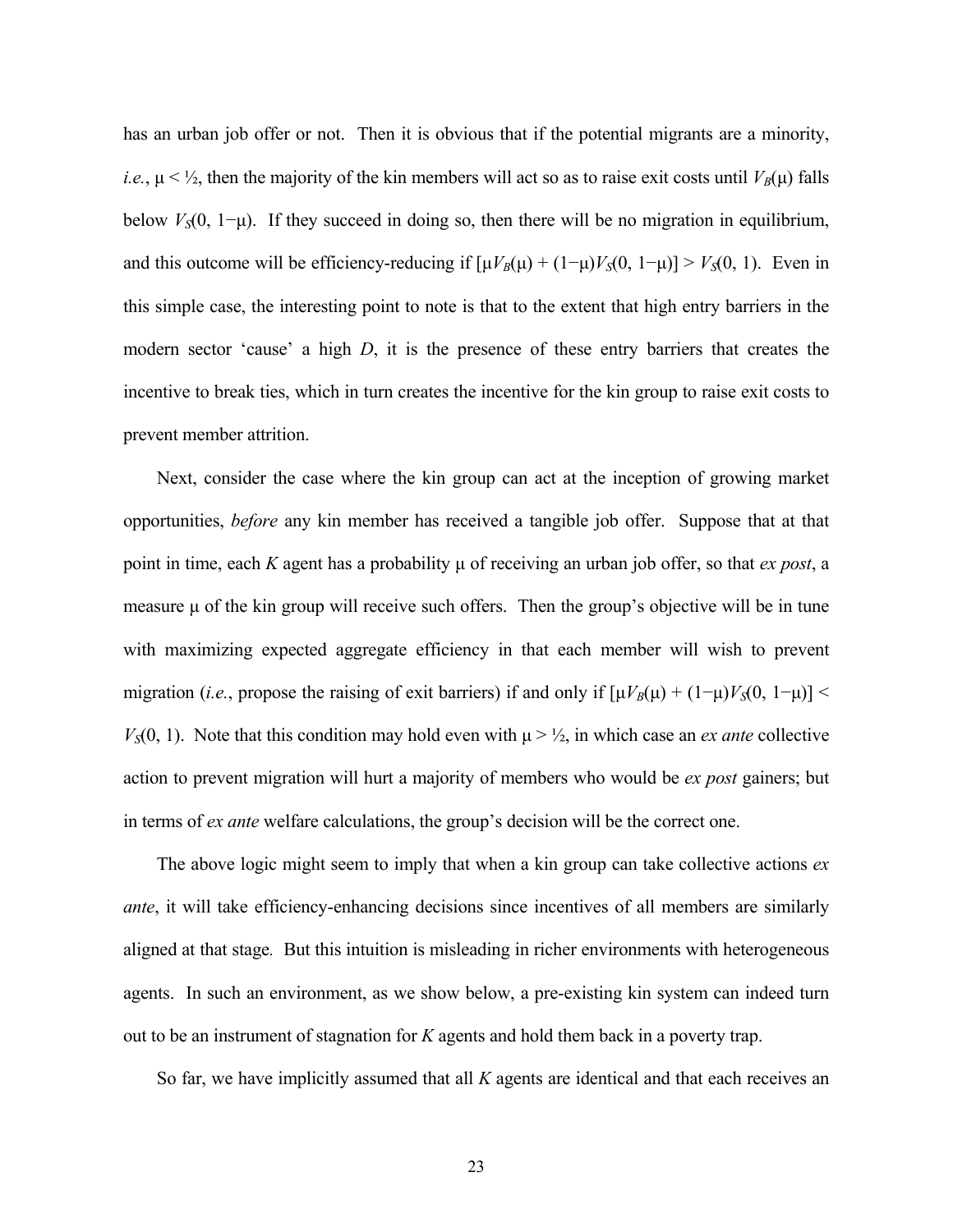has an urban job offer or not. Then it is obvious that if the potential migrants are a minority, *i.e.*,  $\mu < \frac{1}{2}$ , then the majority of the kin members will act so as to raise exit costs until  $V_B(\mu)$  falls below  $V<sub>S</sub>(0, 1-\mu)$ . If they succeed in doing so, then there will be no migration in equilibrium, and this outcome will be efficiency-reducing if  $[\mu V_B(\mu) + (1-\mu)V_S(0, 1-\mu)] > V_S(0, 1)$ . Even in this simple case, the interesting point to note is that to the extent that high entry barriers in the modern sector 'cause' a high *D*, it is the presence of these entry barriers that creates the incentive to break ties, which in turn creates the incentive for the kin group to raise exit costs to prevent member attrition.

 Next, consider the case where the kin group can act at the inception of growing market opportunities, *before* any kin member has received a tangible job offer. Suppose that at that point in time, each *K* agent has a probability µ of receiving an urban job offer, so that *ex post*, a measure  $\mu$  of the kin group will receive such offers. Then the group's objective will be in tune with maximizing expected aggregate efficiency in that each member will wish to prevent migration (*i.e.*, propose the raising of exit barriers) if and only if  $[\mu V_B(\mu) + (1-\mu)V_S(0, 1-\mu)]$  <  $V<sub>S</sub>(0, 1)$ . Note that this condition may hold even with  $\mu > \frac{1}{2}$ , in which case an *ex ante* collective action to prevent migration will hurt a majority of members who would be *ex post* gainers; but in terms of *ex ante* welfare calculations, the group's decision will be the correct one.

 The above logic might seem to imply that when a kin group can take collective actions *ex ante*, it will take efficiency-enhancing decisions since incentives of all members are similarly aligned at that stage*.* But this intuition is misleading in richer environments with heterogeneous agents. In such an environment, as we show below, a pre-existing kin system can indeed turn out to be an instrument of stagnation for *K* agents and hold them back in a poverty trap.

So far, we have implicitly assumed that all *K* agents are identical and that each receives an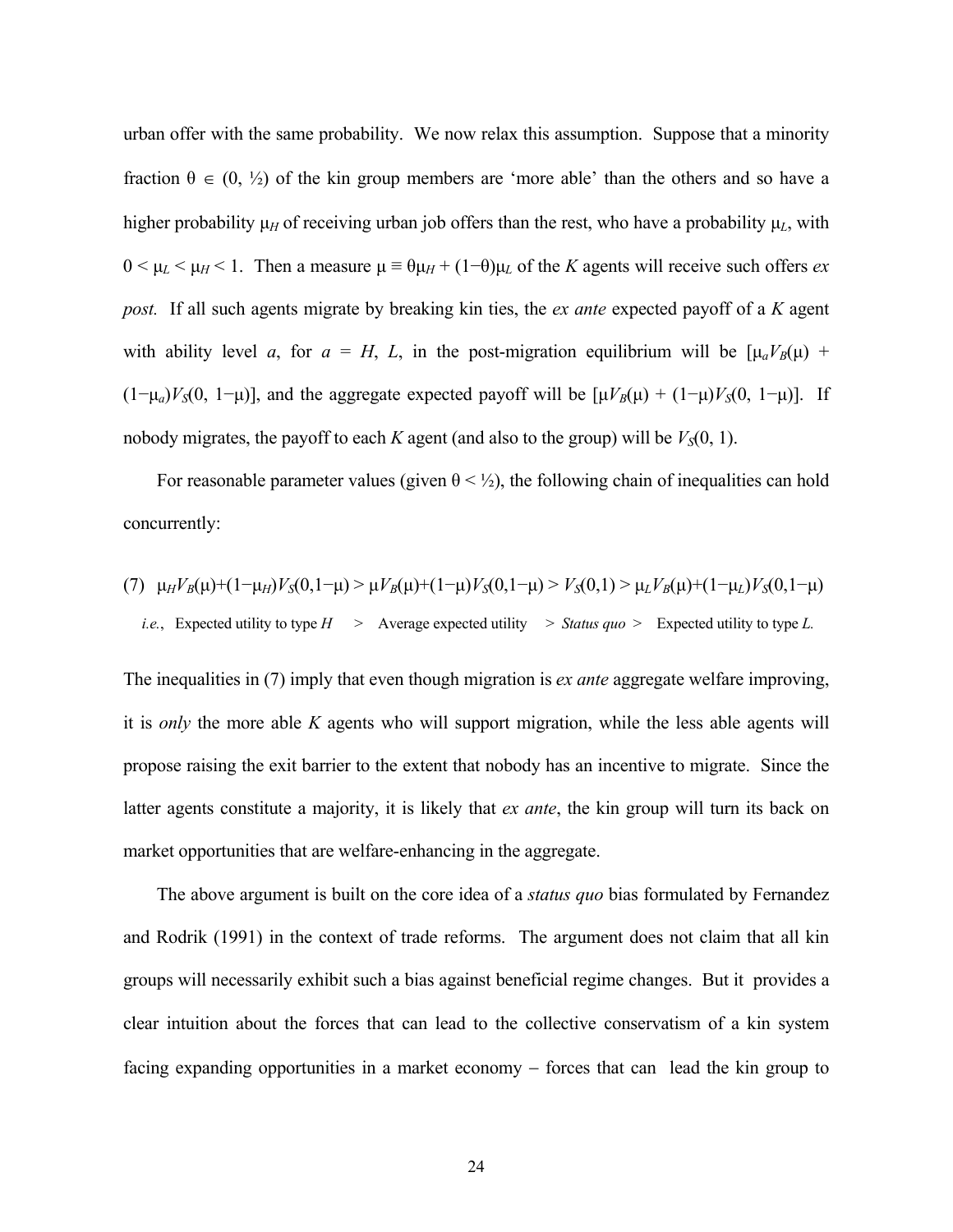urban offer with the same probability. We now relax this assumption. Suppose that a minority fraction  $\theta \in (0, \frac{1}{2})$  of the kin group members are 'more able' than the others and so have a higher probability  $\mu$ <sup>H</sup> of receiving urban job offers than the rest, who have a probability  $\mu$ <sub>L</sub>, with  $0 < \mu$ <sub>*L*</sub>  $< \mu$ <sup>*H*</sup> < 1. Then a measure  $\mu$  ≡  $\theta$  $\mu$ <sub>*H*</sub> + (1−θ) $\mu$ <sub>*L*</sub> of the *K* agents will receive such offers *ex post.* If all such agents migrate by breaking kin ties, the *ex ante* expected payoff of a *K* agent with ability level *a*, for  $a = H$ , *L*, in the post-migration equilibrium will be  $[\mu_a V_B(\mu) +$ (1−μ*a*)*V<sub>S</sub>*(0, 1−μ)], and the aggregate expected payoff will be  $[\mu V_B(\mu) + (1-\mu)V_S(0, 1-\mu)]$ . If nobody migrates, the payoff to each *K* agent (and also to the group) will be  $V<sub>S</sub>(0, 1)$ .

For reasonable parameter values (given  $\theta$  <  $\frac{1}{2}$ ), the following chain of inequalities can hold concurrently:

(7) 
$$
\mu_H V_B(\mu) + (1 - \mu_H) V_S(0, 1 - \mu) > \mu V_B(\mu) + (1 - \mu) V_S(0, 1 - \mu) > V_S(0, 1) > \mu_L V_B(\mu) + (1 - \mu_L) V_S(0, 1 - \mu)
$$
  
*i.e.*, Expected utility to type  $H$  > Average expected utility > *Status quo* > Expected utility to type  $L$ .

The inequalities in (7) imply that even though migration is *ex ante* aggregate welfare improving, it is *only* the more able *K* agents who will support migration, while the less able agents will propose raising the exit barrier to the extent that nobody has an incentive to migrate. Since the latter agents constitute a majority, it is likely that *ex ante*, the kin group will turn its back on market opportunities that are welfare-enhancing in the aggregate.

The above argument is built on the core idea of a *status quo* bias formulated by Fernandez and Rodrik (1991) in the context of trade reforms. The argument does not claim that all kin groups will necessarily exhibit such a bias against beneficial regime changes. But it provides a clear intuition about the forces that can lead to the collective conservatism of a kin system facing expanding opportunities in a market economy – forces that can lead the kin group to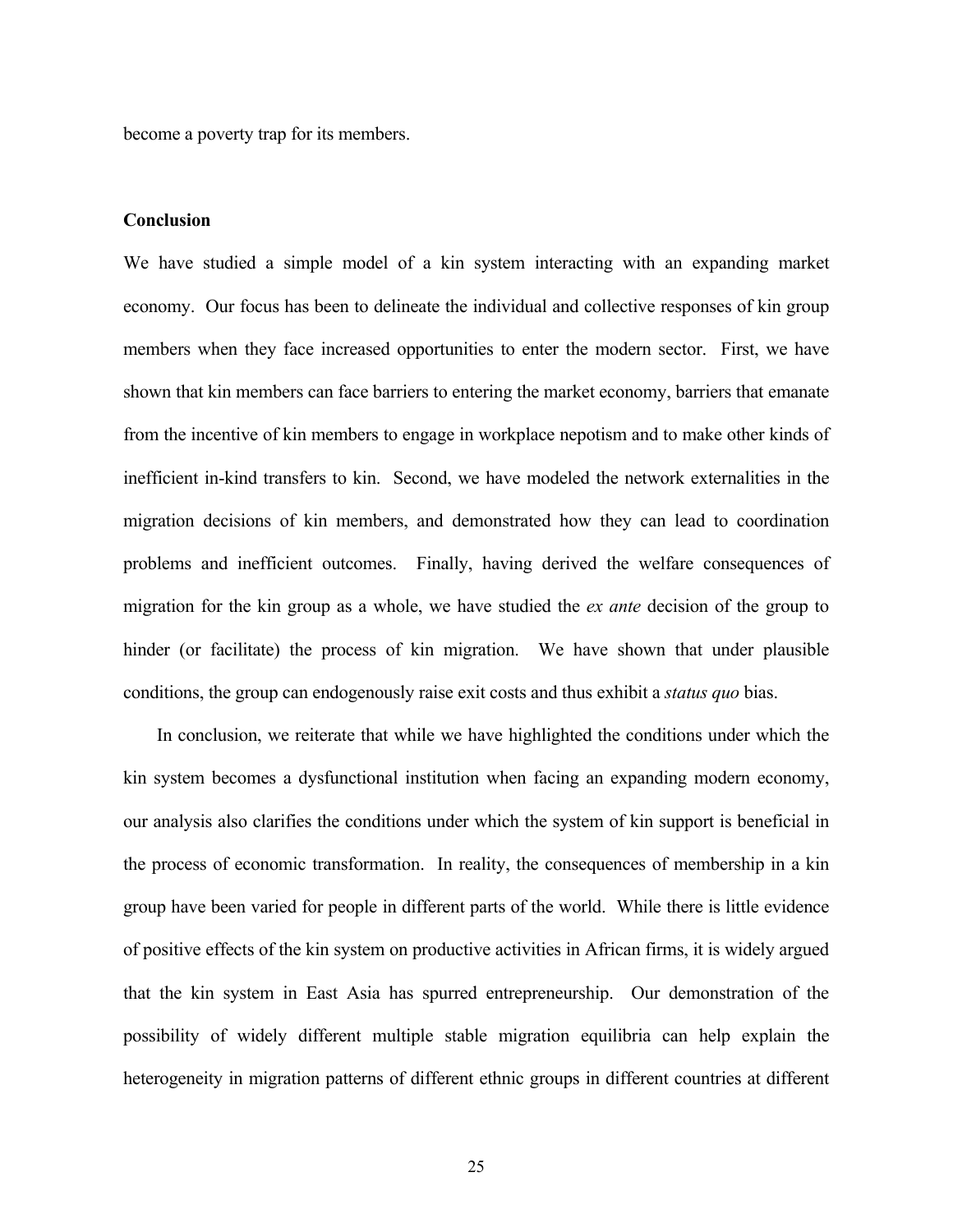become a poverty trap for its members.

### **Conclusion**

We have studied a simple model of a kin system interacting with an expanding market economy. Our focus has been to delineate the individual and collective responses of kin group members when they face increased opportunities to enter the modern sector. First, we have shown that kin members can face barriers to entering the market economy, barriers that emanate from the incentive of kin members to engage in workplace nepotism and to make other kinds of inefficient in-kind transfers to kin. Second, we have modeled the network externalities in the migration decisions of kin members, and demonstrated how they can lead to coordination problems and inefficient outcomes. Finally, having derived the welfare consequences of migration for the kin group as a whole, we have studied the *ex ante* decision of the group to hinder (or facilitate) the process of kin migration. We have shown that under plausible conditions, the group can endogenously raise exit costs and thus exhibit a *status quo* bias.

In conclusion, we reiterate that while we have highlighted the conditions under which the kin system becomes a dysfunctional institution when facing an expanding modern economy, our analysis also clarifies the conditions under which the system of kin support is beneficial in the process of economic transformation. In reality, the consequences of membership in a kin group have been varied for people in different parts of the world. While there is little evidence of positive effects of the kin system on productive activities in African firms, it is widely argued that the kin system in East Asia has spurred entrepreneurship. Our demonstration of the possibility of widely different multiple stable migration equilibria can help explain the heterogeneity in migration patterns of different ethnic groups in different countries at different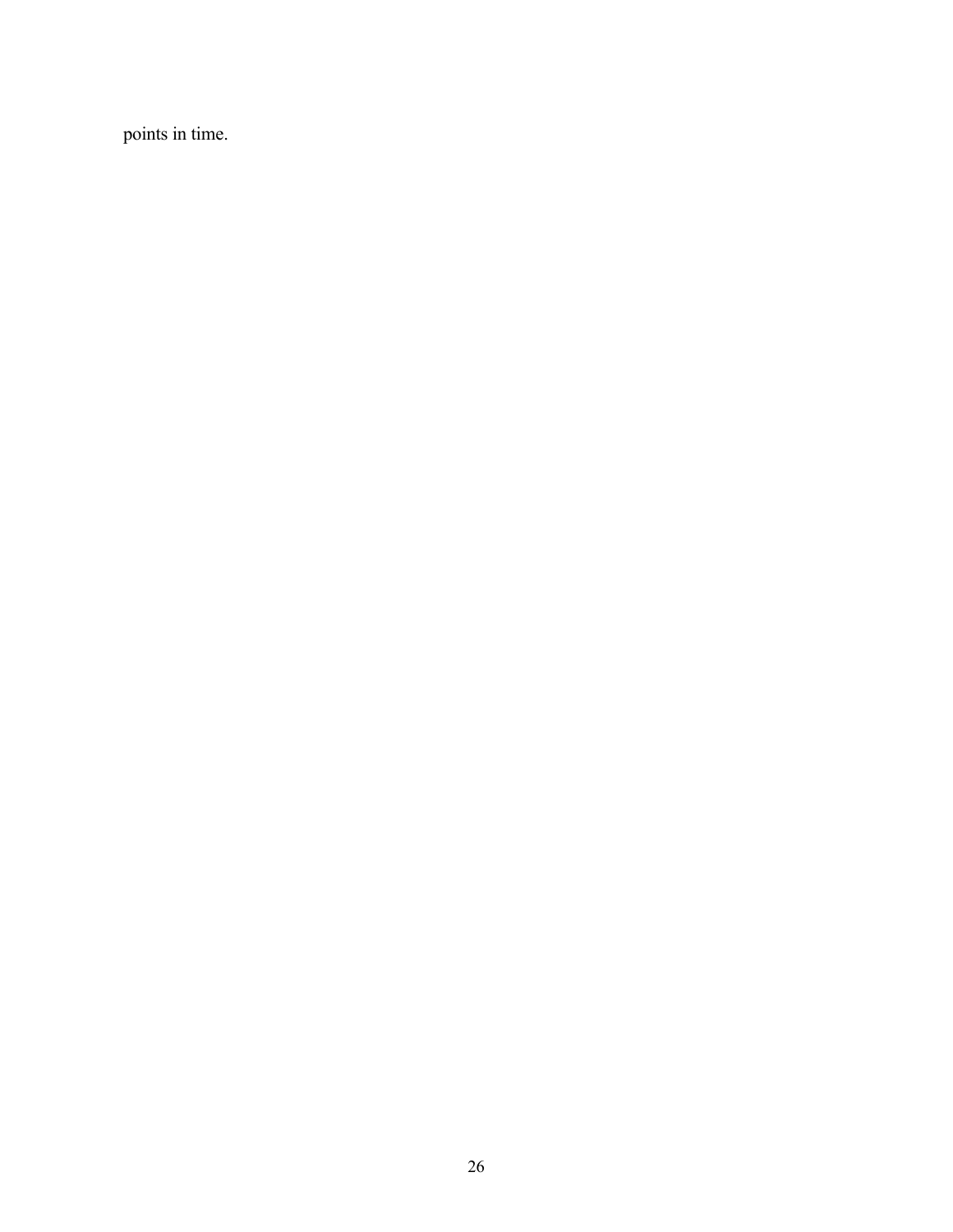points in time.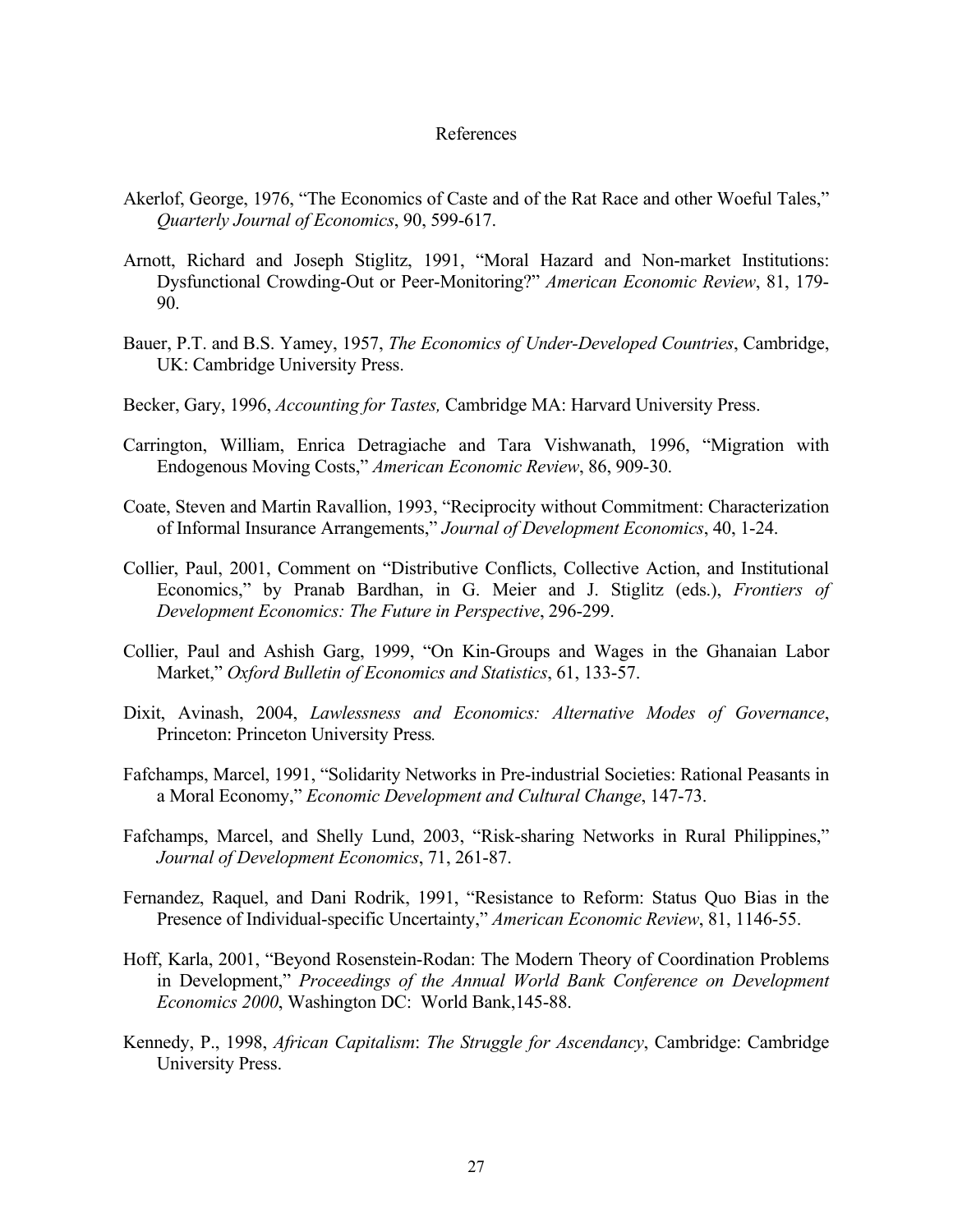#### References

- Akerlof, George, 1976, "The Economics of Caste and of the Rat Race and other Woeful Tales," *Quarterly Journal of Economics*, 90, 599-617.
- Arnott, Richard and Joseph Stiglitz, 1991, "Moral Hazard and Non-market Institutions: Dysfunctional Crowding-Out or Peer-Monitoring?" *American Economic Review*, 81, 179- 90.
- Bauer, P.T. and B.S. Yamey, 1957, *The Economics of Under-Developed Countries*, Cambridge, UK: Cambridge University Press.
- Becker, Gary, 1996, *Accounting for Tastes,* Cambridge MA: Harvard University Press.
- Carrington, William, Enrica Detragiache and Tara Vishwanath, 1996, "Migration with Endogenous Moving Costs," *American Economic Review*, 86, 909-30.
- Coate, Steven and Martin Ravallion, 1993, "Reciprocity without Commitment: Characterization of Informal Insurance Arrangements," *Journal of Development Economics*, 40, 1-24.
- Collier, Paul, 2001, Comment on "Distributive Conflicts, Collective Action, and Institutional Economics," by Pranab Bardhan, in G. Meier and J. Stiglitz (eds.), *Frontiers of Development Economics: The Future in Perspective*, 296-299.
- Collier, Paul and Ashish Garg, 1999, "On Kin-Groups and Wages in the Ghanaian Labor Market," *Oxford Bulletin of Economics and Statistics*, 61, 133-57.
- Dixit, Avinash, 2004, *Lawlessness and Economics: Alternative Modes of Governance*, Princeton: Princeton University Press*.*
- Fafchamps, Marcel, 1991, "Solidarity Networks in Pre-industrial Societies: Rational Peasants in a Moral Economy," *Economic Development and Cultural Change*, 147-73.
- Fafchamps, Marcel, and Shelly Lund, 2003, "Risk-sharing Networks in Rural Philippines," *Journal of Development Economics*, 71, 261-87.
- Fernandez, Raquel, and Dani Rodrik, 1991, "Resistance to Reform: Status Quo Bias in the Presence of Individual-specific Uncertainty," *American Economic Review*, 81, 1146-55.
- Hoff, Karla, 2001, "Beyond Rosenstein-Rodan: The Modern Theory of Coordination Problems in Development," *Proceedings of the Annual World Bank Conference on Development Economics 2000*, Washington DC: World Bank,145-88.
- Kennedy, P., 1998, *African Capitalism*: *The Struggle for Ascendancy*, Cambridge: Cambridge University Press.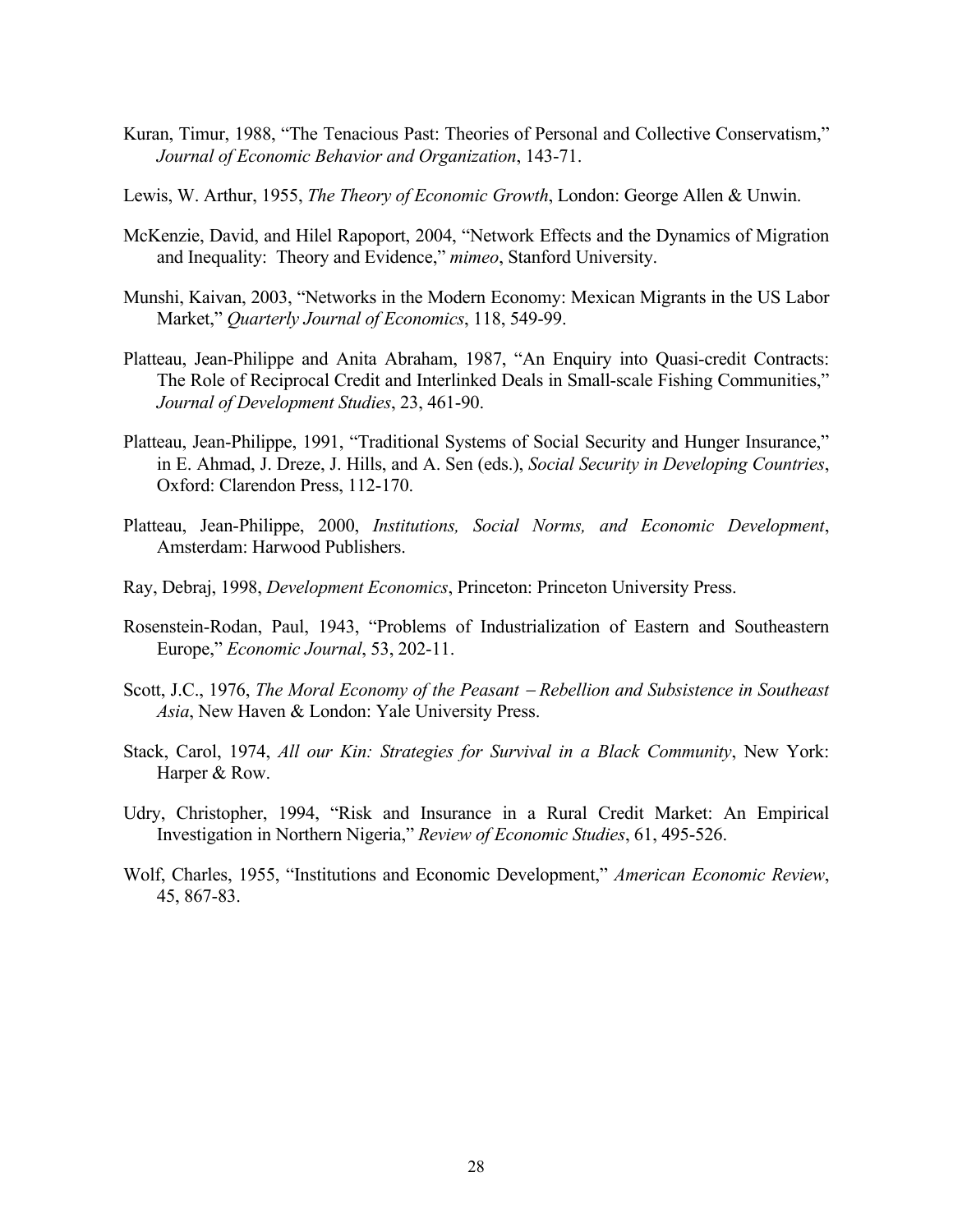- Kuran, Timur, 1988, "The Tenacious Past: Theories of Personal and Collective Conservatism," *Journal of Economic Behavior and Organization*, 143-71.
- Lewis, W. Arthur, 1955, *The Theory of Economic Growth*, London: George Allen & Unwin.
- McKenzie, David, and Hilel Rapoport, 2004, "Network Effects and the Dynamics of Migration and Inequality: Theory and Evidence," *mimeo*, Stanford University.
- Munshi, Kaivan, 2003, "Networks in the Modern Economy: Mexican Migrants in the US Labor Market," *Quarterly Journal of Economics*, 118, 549-99.
- Platteau, Jean-Philippe and Anita Abraham, 1987, "An Enquiry into Quasi-credit Contracts: The Role of Reciprocal Credit and Interlinked Deals in Small-scale Fishing Communities," *Journal of Development Studies*, 23, 461-90.
- Platteau, Jean-Philippe, 1991, "Traditional Systems of Social Security and Hunger Insurance," in E. Ahmad, J. Dreze, J. Hills, and A. Sen (eds.), *Social Security in Developing Countries*, Oxford: Clarendon Press, 112-170.
- Platteau, Jean-Philippe, 2000, *Institutions, Social Norms, and Economic Development*, Amsterdam: Harwood Publishers.
- Ray, Debraj, 1998, *Development Economics*, Princeton: Princeton University Press.
- Rosenstein-Rodan, Paul, 1943, "Problems of Industrialization of Eastern and Southeastern Europe," *Economic Journal*, 53, 202-11.
- Scott, J.C., 1976, *The Moral Economy of the Peasant* − *Rebellion and Subsistence in Southeast Asia*, New Haven & London: Yale University Press.
- Stack, Carol, 1974, *All our Kin: Strategies for Survival in a Black Community*, New York: Harper & Row.
- Udry, Christopher, 1994, "Risk and Insurance in a Rural Credit Market: An Empirical Investigation in Northern Nigeria," *Review of Economic Studies*, 61, 495-526.
- Wolf, Charles, 1955, "Institutions and Economic Development," *American Economic Review*, 45, 867-83.